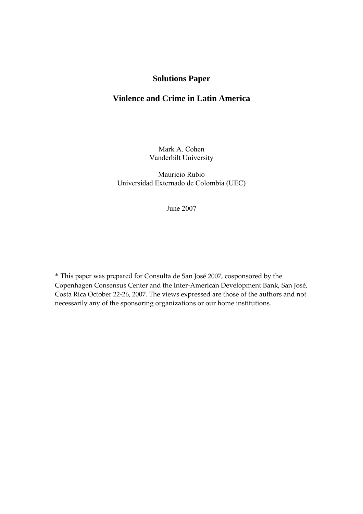# **Solutions Paper**

# **Violence and Crime in Latin America**

Mark A. Cohen Vanderbilt University

Mauricio Rubio Universidad Externado de Colombia (UEC)

June 2007

\* This paper was prepared for Consulta de San José 2007, cosponsored by the Copenhagen Consensus Center and the Inter‐American Development Bank, San José, Costa Rica October 22‐26, 2007. The views expressed are those of the authors and not necessarily any of the sponsoring organizations or our home institutions.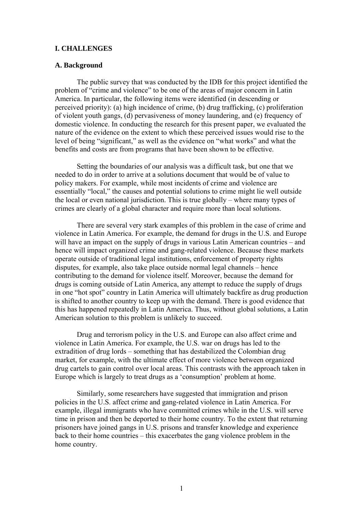#### **I. CHALLENGES**

#### **A. Background**

 The public survey that was conducted by the IDB for this project identified the problem of "crime and violence" to be one of the areas of major concern in Latin America. In particular, the following items were identified (in descending or perceived priority): (a) high incidence of crime, (b) drug trafficking, (c) proliferation of violent youth gangs, (d) pervasiveness of money laundering, and (e) frequency of domestic violence. In conducting the research for this present paper, we evaluated the nature of the evidence on the extent to which these perceived issues would rise to the level of being "significant," as well as the evidence on "what works" and what the benefits and costs are from programs that have been shown to be effective.

 Setting the boundaries of our analysis was a difficult task, but one that we needed to do in order to arrive at a solutions document that would be of value to policy makers. For example, while most incidents of crime and violence are essentially "local," the causes and potential solutions to crime might lie well outside the local or even national jurisdiction. This is true globally – where many types of crimes are clearly of a global character and require more than local solutions.

 There are several very stark examples of this problem in the case of crime and violence in Latin America. For example, the demand for drugs in the U.S. and Europe will have an impact on the supply of drugs in various Latin American countries – and hence will impact organized crime and gang-related violence. Because these markets operate outside of traditional legal institutions, enforcement of property rights disputes, for example, also take place outside normal legal channels – hence contributing to the demand for violence itself. Moreover, because the demand for drugs is coming outside of Latin America, any attempt to reduce the supply of drugs in one "hot spot" country in Latin America will ultimately backfire as drug production is shifted to another country to keep up with the demand. There is good evidence that this has happened repeatedly in Latin America. Thus, without global solutions, a Latin American solution to this problem is unlikely to succeed.

 Drug and terrorism policy in the U.S. and Europe can also affect crime and violence in Latin America. For example, the U.S. war on drugs has led to the extradition of drug lords – something that has destabilized the Colombian drug market, for example, with the ultimate effect of more violence between organized drug cartels to gain control over local areas. This contrasts with the approach taken in Europe which is largely to treat drugs as a 'consumption' problem at home.

 Similarly, some researchers have suggested that immigration and prison policies in the U.S. affect crime and gang-related violence in Latin America. For example, illegal immigrants who have committed crimes while in the U.S. will serve time in prison and then be deported to their home country. To the extent that returning prisoners have joined gangs in U.S. prisons and transfer knowledge and experience back to their home countries – this exacerbates the gang violence problem in the home country.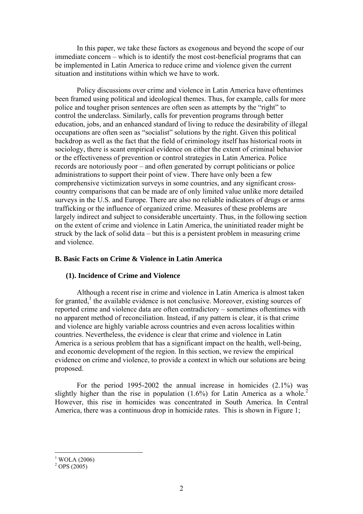In this paper, we take these factors as exogenous and beyond the scope of our immediate concern – which is to identify the most cost-beneficial programs that can be implemented in Latin America to reduce crime and violence given the current situation and institutions within which we have to work.

 Policy discussions over crime and violence in Latin America have oftentimes been framed using political and ideological themes. Thus, for example, calls for more police and tougher prison sentences are often seen as attempts by the "right" to control the underclass. Similarly, calls for prevention programs through better education, jobs, and an enhanced standard of living to reduce the desirability of illegal occupations are often seen as "socialist" solutions by the right. Given this political backdrop as well as the fact that the field of criminology itself has historical roots in sociology, there is scant empirical evidence on either the extent of criminal behavior or the effectiveness of prevention or control strategies in Latin America. Police records are notoriously poor – and often generated by corrupt politicians or police administrations to support their point of view. There have only been a few comprehensive victimization surveys in some countries, and any significant crosscountry comparisons that can be made are of only limited value unlike more detailed surveys in the U.S. and Europe. There are also no reliable indicators of drugs or arms trafficking or the influence of organized crime. Measures of these problems are largely indirect and subject to considerable uncertainty. Thus, in the following section on the extent of crime and violence in Latin America, the uninitiated reader might be struck by the lack of solid data – but this is a persistent problem in measuring crime and violence.

### **B. Basic Facts on Crime & Violence in Latin America**

#### **(1). Incidence of Crime and Violence**

 Although a recent rise in crime and violence in Latin America is almost taken for granted,<sup>1</sup> the available evidence is not conclusive. Moreover, existing sources of reported crime and violence data are often contradictory – sometimes oftentimes with no apparent method of reconciliation. Instead, if any pattern is clear, it is that crime and violence are highly variable across countries and even across localities within countries. Nevertheless, the evidence is clear that crime and violence in Latin America is a serious problem that has a significant impact on the health, well-being, and economic development of the region. In this section, we review the empirical evidence on crime and violence, to provide a context in which our solutions are being proposed.

 For the period 1995-2002 the annual increase in homicides (2.1%) was slightly higher than the rise in population  $(1.6\%)$  for Latin America as a whole.<sup>2</sup> However, this rise in homicides was concentrated in South America. In Central America, there was a continuous drop in homicide rates. This is shown in Figure 1;

<sup>&</sup>lt;sup>1</sup> WOLA (2006)<br><sup>2</sup> OPS (2005)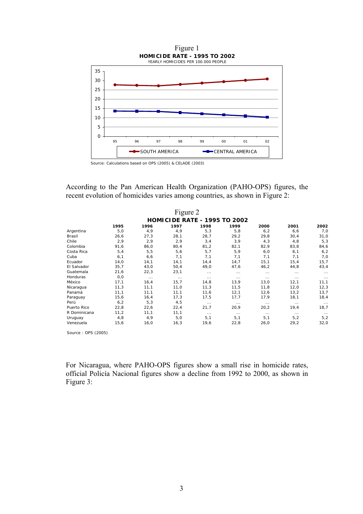

Source: Calculations based on OPS (2005) & CELADE (2003)

According to the Pan American Health Organization (PAHO-OPS) figures, the recent evolution of homicides varies among countries, as shown in Figure 2:

|                                     |      |          | Figure 2 |          |          |          |          |          |
|-------------------------------------|------|----------|----------|----------|----------|----------|----------|----------|
| <b>HOMICIDE RATE - 1995 TO 2002</b> |      |          |          |          |          |          |          |          |
|                                     | 1995 | 1996     | 1997     | 1998     | 1999     | 2000     | 2001     | 2002     |
| Argentina                           | 5,0  | 4,9      | 4,9      | 5, 3     | 5,8      | 6,2      | 6,6      | 7,0      |
| Brasil                              | 26,6 | 27,3     | 28,1     | 28,7     | 29,2     | 29,8     | 30,4     | 31,0     |
| Chile                               | 2,9  | 2,9      | 2,9      | 3,4      | 3,9      | 4,3      | 4,8      | 5, 3     |
| Colombia                            | 91,6 | 86,0     | 80,4     | 81,2     | 82,1     | 82,9     | 83,8     | 84,6     |
| Costa Rica                          | 5,4  | 5,5      | 5,6      | 5,7      | 5,9      | 6,0      | 6,1      | 6,2      |
| Cuba                                | 6,1  | 6,6      | 7,1      | 7,1      | 7,1      | 7,1      | 7,1      | 7,0      |
| Ecuador                             | 14,0 | 14,1     | 14,1     | 14,4     | 14,7     | 15,1     | 15,4     | 15,7     |
| El Salvador                         | 35,7 | 43,0     | 50,4     | 49,0     | 47,6     | 46,2     | 44,8     | 43,4     |
| Guatemala                           | 21,6 | 22,3     | 23,1     | $\cdots$ | $\cdots$ | $\cdots$ | $\cdots$ | $\cdots$ |
| Honduras                            | 0,0  | $\cdots$ | $\cdots$ | $\cdots$ | $\cdots$ | $\cdots$ | $\cdots$ | $\cdots$ |
| México                              | 17,1 | 16,4     | 15,7     | 14,8     | 13,9     | 13,0     | 12,1     | 11,1     |
| Nicaragua                           | 11,3 | 11,1     | 11,0     | 11,3     | 11,5     | 11,8     | 12,0     | 12,3     |
| Panamá                              | 11,1 | 11,1     | 11,1     | 11,6     | 12,1     | 12,6     | 13,2     | 13,7     |
| Paraguay                            | 15,6 | 16,4     | 17,3     | 17,5     | 17,7     | 17,9     | 18,1     | 18,4     |
| Perú                                | 6,2  | 5,3      | 4,5      | $\cdots$ | $\cdots$ | $\cdots$ | $\cdots$ | $\cdots$ |
| Puerto Rico                         | 22,8 | 22,6     | 22,4     | 21,7     | 20,9     | 20,2     | 19,4     | 18,7     |
| R Dominicana                        | 11,2 | 11,1     | 11,1     | $\cdots$ | $\cdots$ | $\cdots$ | $\cdots$ | $\cdots$ |
| Uruguay                             | 4,8  | 4,9      | 5,0      | 5,1      | 5,1      | 5,1      | 5,2      | 5,2      |
| Venezuela                           | 15,6 | 16,0     | 16,3     | 19,6     | 22,8     | 26,0     | 29,2     | 32,0     |

Source : OPS (2005)

For Nicaragua, where PAHO-OPS figures show a small rise in homicide rates, official Policía Nacional figures show a decline from 1992 to 2000, as shown in Figure 3: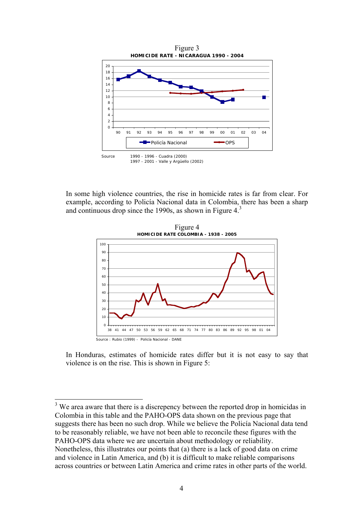

In some high violence countries, the rise in homicide rates is far from clear. For example, according to Policía Nacional data in Colombia, there has been a sharp and continuous drop since the 1990s, as shown in Figure  $4<sup>3</sup>$ 



In Honduras, estimates of homicide rates differ but it is not easy to say that violence is on the rise. This is shown in Figure 5:

 $3$  We area aware that there is a discrepency between the reported drop in homicidas in Colombia in this table and the PAHO-OPS data shown on the previous page that suggests there has been no such drop. While we believe the Policía Nacional data tend to be reasonably reliable, we have not been able to reconcile these figures with the PAHO-OPS data where we are uncertain about methodology or reliability. Nonetheless, this illustrates our points that (a) there is a lack of good data on crime and violence in Latin America, and (b) it is difficult to make reliable comparisons

 $\overline{a}$ 

across countries or between Latin America and crime rates in other parts of the world.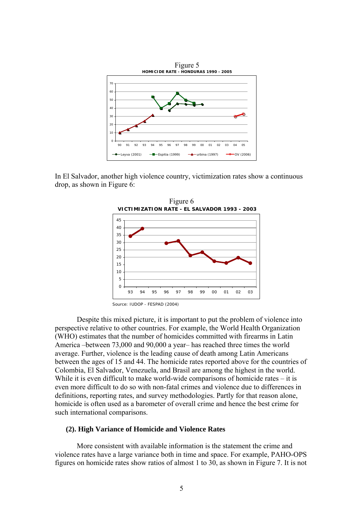

In El Salvador, another high violence country, victimization rates show a continuous drop, as shown in Figure 6:



Source: IUDOP - FESPAD (2004)

 Despite this mixed picture, it is important to put the problem of violence into perspective relative to other countries. For example, the World Health Organization (WHO) estimates that the number of homicides committed with firearms in Latin America –between 73,000 and 90,000 a year– has reached three times the world average. Further, violence is the leading cause of death among Latin Americans between the ages of 15 and 44. The homicide rates reported above for the countries of Colombia, El Salvador, Venezuela, and Brasil are among the highest in the world. While it is even difficult to make world-wide comparisons of homicide rates – it is even more difficult to do so with non-fatal crimes and violence due to differences in definitions, reporting rates, and survey methodologies. Partly for that reason alone, homicide is often used as a barometer of overall crime and hence the best crime for such international comparisons.

#### **(2). High Variance of Homicide and Violence Rates**

 More consistent with available information is the statement the crime and violence rates have a large variance both in time and space. For example, PAHO-OPS figures on homicide rates show ratios of almost 1 to 30, as shown in Figure 7. It is not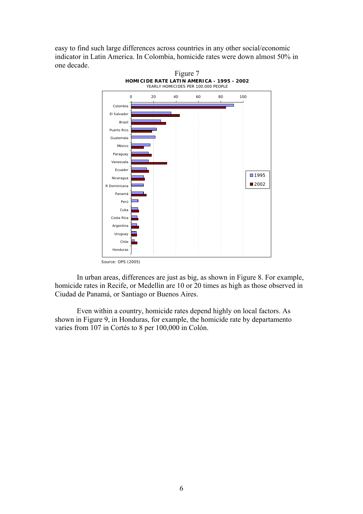easy to find such large differences across countries in any other social/economic indicator in Latin America. In Colombia, homicide rates were down almost 50% in one decade.



Source: OPS (2005)

In urban areas, differences are just as big, as shown in Figure 8. For example, homicide rates in Recife, or Medellin are 10 or 20 times as high as those observed in Ciudad de Panamá, or Santiago or Buenos Aires.

Even within a country, homicide rates depend highly on local factors. As shown in Figure 9, in Honduras, for example, the homicide rate by departamento varies from 107 in Cortés to 8 per 100,000 in Colón.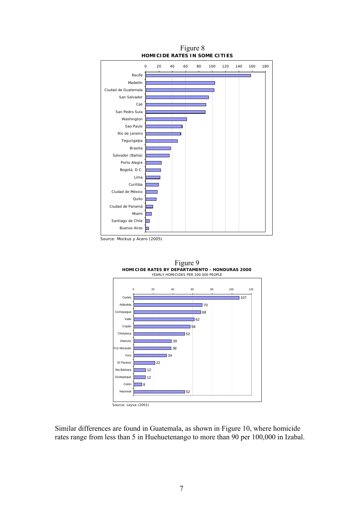

Source: Mockus y Acero (2005)



Similar differences are found in Guatemala, as shown in Figure 10, where homicide rates range from less than 5 in Huehuetenango to more than 90 per 100,000 in Izabal.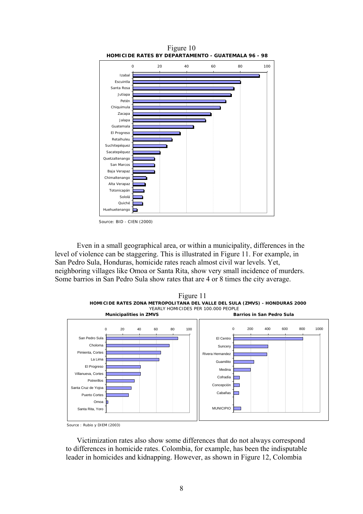

Even in a small geographical area, or within a municipality, differences in the level of violence can be staggering. This is illustrated in Figure 11. For example, in San Pedro Sula, Honduras, homicide rates reach almost civil war levels. Yet, neighboring villages like Omoa or Santa Rita, show very small incidence of murders. Some barrios in San Pedro Sula show rates that are 4 or 8 times the city average.



Source : Rubio y DIEM (2003)

 Victimization rates also show some differences that do not always correspond to differences in homicide rates. Colombia, for example, has been the indisputable leader in homicides and kidnapping. However, as shown in Figure 12, Colombia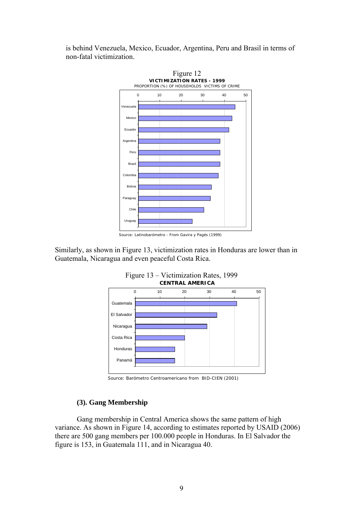is behind Venezuela, Mexico, Ecuador, Argentina, Peru and Brasil in terms of non-fatal victimization.



Source: Latinobarómetro - From Gavira y Pagés (1999)

Similarly, as shown in Figure 13, victimization rates in Honduras are lower than in Guatemala, Nicaragua and even peaceful Costa Rica.





Source: Barómetro Centroamericano from BID-CIEN (2001)

## **(3). Gang Membership**

Gang membership in Central America shows the same pattern of high variance. As shown in Figure 14, according to estimates reported by USAID (2006) there are 500 gang members per 100.000 people in Honduras. In El Salvador the figure is 153, in Guatemala 111, and in Nicaragua 40.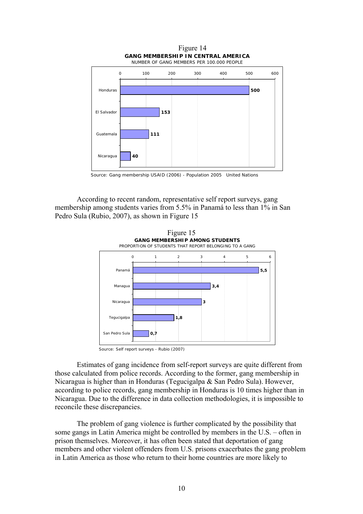

Source: Gang membership USAID (2006) - Population 2005 United Nations

According to recent random, representative self report surveys, gang membership among students varies from 5.5% in Panamá to less than 1% in San Pedro Sula (Rubio, 2007), as shown in Figure 15



Source: Self report surveys - Rubio (2007)

Estimates of gang incidence from self-report surveys are quite different from those calculated from police records. According to the former, gang membership in Nicaragua is higher than in Honduras (Tegucigalpa & San Pedro Sula). However, according to police records, gang membership in Honduras is 10 times higher than in Nicaragua. Due to the difference in data collection methodologies, it is impossible to reconcile these discrepancies.

The problem of gang violence is further complicated by the possibility that some gangs in Latin America might be controlled by members in the U.S. – often in prison themselves. Moreover, it has often been stated that deportation of gang members and other violent offenders from U.S. prisons exacerbates the gang problem in Latin America as those who return to their home countries are more likely to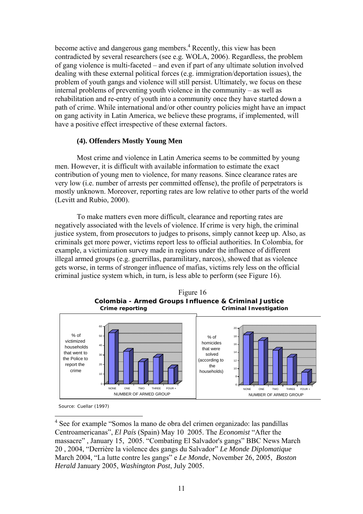become active and dangerous gang members.<sup>4</sup> Recently, this view has been contradicted by several researchers (see e.g. WOLA, 2006). Regardless, the problem of gang violence is multi-faceted – and even if part of any ultimate solution involved dealing with these external political forces (e.g. immigration/deportation issues), the problem of youth gangs and violence will still persist. Ultimately, we focus on these internal problems of preventing youth violence in the community – as well as rehabilitation and re-entry of youth into a community once they have started down a path of crime. While international and/or other country policies might have an impact on gang activity in Latin America, we believe these programs, if implemented, will have a positive effect irrespective of these external factors.

## **(4). Offenders Mostly Young Men**

Most crime and violence in Latin America seems to be committed by young men. However, it is difficult with available information to estimate the exact contribution of young men to violence, for many reasons. Since clearance rates are very low (i.e. number of arrests per committed offense), the profile of perpetrators is mostly unknown. Moreover, reporting rates are low relative to other parts of the world (Levitt and Rubio, 2000).

To make matters even more difficult, clearance and reporting rates are negatively associated with the levels of violence. If crime is very high, the criminal justice system, from prosecutors to judges to prisons, simply cannot keep up. Also, as criminals get more power, victims report less to official authorities. In Colombia, for example, a victimization survey made in regions under the influence of different illegal armed groups (e.g. guerrillas, paramilitary, narcos), showed that as violence gets worse, in terms of stronger influence of mafias, victims rely less on the official criminal justice system which, in turn, is less able to perform (see Figure 16).





Source: Cuellar (1997)

 $\overline{a}$ 

4 See for example "Somos la mano de obra del crimen organizado: las pandillas Centroamericanas", *El País* (Spain) May 10 2005. The *Economist* "After the massacre" , January 15, 2005. "Combating El Salvador's gangs" BBC News March 20 , 2004, "Derrière la violence des gangs du Salvador" *Le Monde Diplomatique* March 2004, "La lutte contre les gangs" e *Le Monde*, November 26, 2005, *Boston Herald* January 2005, *Washington Post*, July 2005.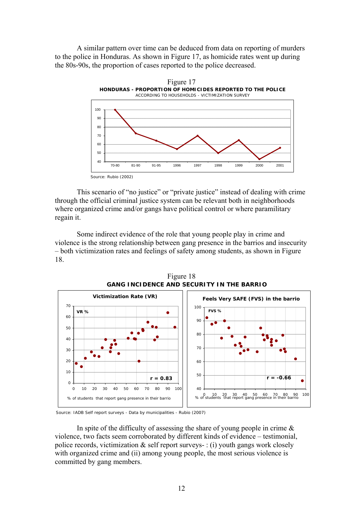A similar pattern over time can be deduced from data on reporting of murders to the police in Honduras. As shown in Figure 17, as homicide rates went up during the 80s-90s, the proportion of cases reported to the police decreased.



This scenario of "no justice" or "private justice" instead of dealing with crime through the official criminal justice system can be relevant both in neighborhoods where organized crime and/or gangs have political control or where paramilitary regain it.

Some indirect evidence of the role that young people play in crime and violence is the strong relationship between gang presence in the barrios and insecurity – both victimization rates and feelings of safety among students, as shown in Figure 18.



Figure 18 **GANG INCIDENCE AND SECURITY IN THE BARRIO**

Source: IADB Self report surveys - Data by municipalities - Rubio (2007)

In spite of the difficulty of assessing the share of young people in crime  $\&$ violence, two facts seem corroborated by different kinds of evidence – testimonial, police records, victimization  $\&$  self report surveys-: (i) youth gangs work closely with organized crime and (ii) among young people, the most serious violence is committed by gang members.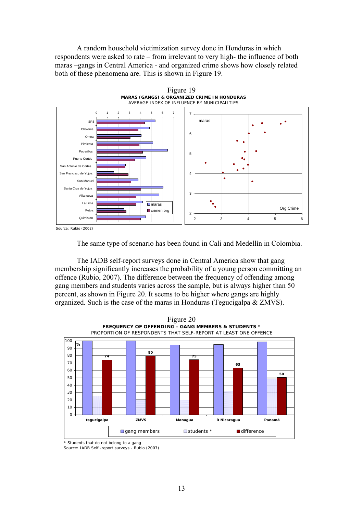A random household victimization survey done in Honduras in which respondents were asked to rate – from irrelevant to very high- the influence of both maras –gangs in Central America - and organized crime shows how closely related both of these phenomena are. This is shown in Figure 19.



Source: Rubio (2002)

The same type of scenario has been found in Cali and Medellín in Colombia.

The IADB self-report surveys done in Central America show that gang membership significantly increases the probability of a young person committing an offence (Rubio, 2007). The difference between the frequency of offending among gang members and students varies across the sample, but is always higher than 50 percent, as shown in Figure 20. It seems to be higher where gangs are highly organized. Such is the case of the maras in Honduras (Tegucigalpa & ZMVS).



Students that do not belong to a gang

Source: IADB Self -report surveys - Rubio (2007)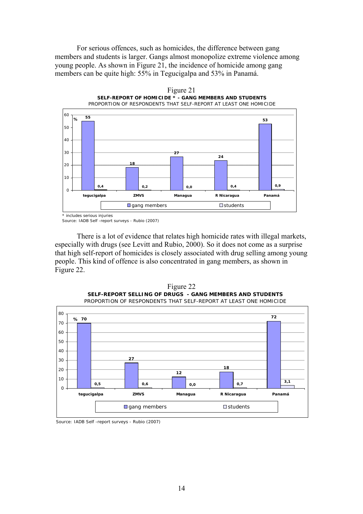For serious offences, such as homicides, the difference between gang members and students is larger. Gangs almost monopolize extreme violence among young people. As shown in Figure 21, the incidence of homicide among gang members can be quite high: 55% in Tegucigalpa and 53% in Panamá.



Figure 21

\* includes serious injuries

Source: IADB Self -report surveys - Rubio (2007)

There is a lot of evidence that relates high homicide rates with illegal markets, especially with drugs (see Levitt and Rubio, 2000). So it does not come as a surprise that high self-report of homicides is closely associated with drug selling among young people. This kind of offence is also concentrated in gang members, as shown in Figure 22.





Source: IADB Self -report surveys - Rubio (2007)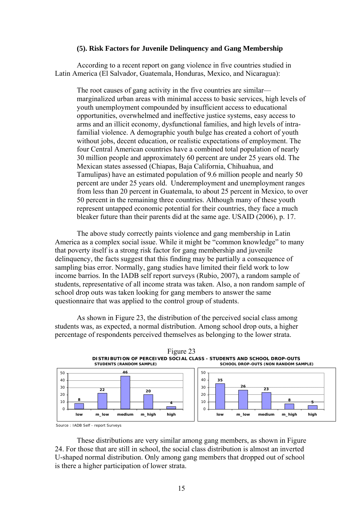### **(5). Risk Factors for Juvenile Delinquency and Gang Membership**

 According to a recent report on gang violence in five countries studied in Latin America (El Salvador, Guatemala, Honduras, Mexico, and Nicaragua):

The root causes of gang activity in the five countries are similar marginalized urban areas with minimal access to basic services, high levels of youth unemployment compounded by insufficient access to educational opportunities, overwhelmed and ineffective justice systems, easy access to arms and an illicit economy, dysfunctional families, and high levels of intrafamilial violence. A demographic youth bulge has created a cohort of youth without jobs, decent education, or realistic expectations of employment. The four Central American countries have a combined total population of nearly 30 million people and approximately 60 percent are under 25 years old. The Mexican states assessed (Chiapas, Baja California, Chihuahua, and Tamulipas) have an estimated population of 9.6 million people and nearly 50 percent are under 25 years old. Underemployment and unemployment ranges from less than 20 percent in Guatemala, to about 25 percent in Mexico, to over 50 percent in the remaining three countries. Although many of these youth represent untapped economic potential for their countries, they face a much bleaker future than their parents did at the same age. USAID (2006), p. 17.

The above study correctly paints violence and gang membership in Latin America as a complex social issue. While it might be "common knowledge" to many that poverty itself is a strong risk factor for gang membership and juvenile delinquency, the facts suggest that this finding may be partially a consequence of sampling bias error. Normally, gang studies have limited their field work to low income barrios. In the IADB self report surveys (Rubio, 2007), a random sample of students, representative of all income strata was taken. Also, a non random sample of school drop outs was taken looking for gang members to answer the same questionnaire that was applied to the control group of students.

As shown in Figure 23, the distribution of the perceived social class among students was, as expected, a normal distribution. Among school drop outs, a higher percentage of respondents perceived themselves as belonging to the lower strata.



Figure 23

Source : IADB Self - report Surveys

These distributions are very similar among gang members, as shown in Figure 24. For those that are still in school, the social class distribution is almost an inverted U-shaped normal distribution. Only among gang members that dropped out of school is there a higher participation of lower strata.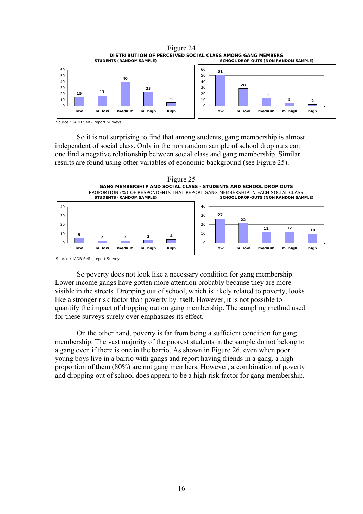

Figure 24

Source : IADB Self - report Surveys

So it is not surprising to find that among students, gang membership is almost independent of social class. Only in the non random sample of school drop outs can one find a negative relationship between social class and gang membership. Similar results are found using other variables of economic background (see Figure 25).



Source : IADB Self - report Surveys

So poverty does not look like a necessary condition for gang membership. Lower income gangs have gotten more attention probably because they are more visible in the streets. Dropping out of school, which is likely related to poverty, looks like a stronger risk factor than poverty by itself. However, it is not possible to quantify the impact of dropping out on gang membership. The sampling method used for these surveys surely over emphasizes its effect.

On the other hand, poverty is far from being a sufficient condition for gang membership. The vast majority of the poorest students in the sample do not belong to a gang even if there is one in the barrio. As shown in Figure 26, even when poor young boys live in a barrio with gangs and report having friends in a gang, a high proportion of them (80%) are not gang members. However, a combination of poverty and dropping out of school does appear to be a high risk factor for gang membership.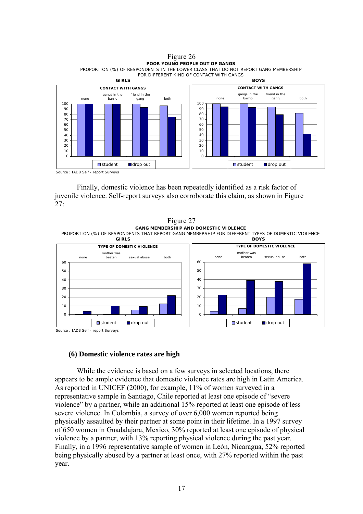Figure 26 **POOR YOUNG PEOPLE OUT OF GANGS** PROPORTION (%) OF RESPONDENTS IN THE LOWER CLASS THAT DO NOT REPORT GANG MEMBERSHIP FOR DIFFERENT KIND OF CONTACT WITH GANGS



Finally, domestic violence has been repeatedly identified as a risk factor of juvenile violence. Self-report surveys also corroborate this claim, as shown in Figure  $27$ 



Source : IADB Self - report Surveys

# **(6) Domestic violence rates are high**

 While the evidence is based on a few surveys in selected locations, there appears to be ample evidence that domestic violence rates are high in Latin America. As reported in UNICEF (2000), for example, 11% of women surveyed in a representative sample in Santiago, Chile reported at least one episode of "severe violence" by a partner, while an additional 15% reported at least one episode of less severe violence. In Colombia, a survey of over 6,000 women reported being physically assaulted by their partner at some point in their lifetime. In a 1997 survey of 650 women in Guadalajara, Mexico, 30% reported at least one episode of physical violence by a partner, with 13% reporting physical violence during the past year. Finally, in a 1996 representative sample of women in León, Nicaragua, 52% reported being physically abused by a partner at least once, with 27% reported within the past year.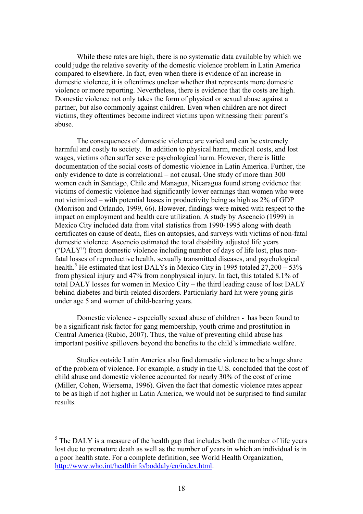While these rates are high, there is no systematic data available by which we could judge the relative severity of the domestic violence problem in Latin America compared to elsewhere. In fact, even when there is evidence of an increase in domestic violence, it is oftentimes unclear whether that represents more domestic violence or more reporting. Nevertheless, there is evidence that the costs are high. Domestic violence not only takes the form of physical or sexual abuse against a partner, but also commonly against children. Even when children are not direct victims, they oftentimes become indirect victims upon witnessing their parent's abuse.

 The consequences of domestic violence are varied and can be extremely harmful and costly to society. In addition to physical harm, medical costs, and lost wages, victims often suffer severe psychological harm. However, there is little documentation of the social costs of domestic violence in Latin America. Further, the only evidence to date is correlational – not causal. One study of more than 300 women each in Santiago, Chile and Managua, Nicaragua found strong evidence that victims of domestic violence had significantly lower earnings than women who were not victimized – with potential losses in productivity being as high as 2% of GDP (Morrison and Orlando, 1999, 66). However, findings were mixed with respect to the impact on employment and health care utilization. A study by Ascencio (1999) in Mexico City included data from vital statistics from 1990-1995 along with death certificates on cause of death, files on autopsies, and surveys with victims of non-fatal domestic violence. Ascencio estimated the total disability adjusted life years ("DALY") from domestic violence including number of days of life lost, plus nonfatal losses of reproductive health, sexually transmitted diseases, and psychological health.<sup>5</sup> He estimated that lost DALYs in Mexico City in 1995 totaled  $27,200 - 53\%$ from physical injury and 47% from nonphysical injury. In fact, this totaled 8.1% of total DALY losses for women in Mexico City – the third leading cause of lost DALY behind diabetes and birth-related disorders. Particularly hard hit were young girls under age 5 and women of child-bearing years.

 Domestic violence - especially sexual abuse of children - has been found to be a significant risk factor for gang membership, youth crime and prostitution in Central America (Rubio, 2007). Thus, the value of preventing child abuse has important positive spillovers beyond the benefits to the child's immediate welfare.

 Studies outside Latin America also find domestic violence to be a huge share of the problem of violence. For example, a study in the U.S. concluded that the cost of child abuse and domestic violence accounted for nearly 30% of the cost of crime (Miller, Cohen, Wiersema, 1996). Given the fact that domestic violence rates appear to be as high if not higher in Latin America, we would not be surprised to find similar results.

 $\overline{a}$ 

 $<sup>5</sup>$  The DALY is a measure of the health gap that includes both the number of life years</sup> lost due to premature death as well as the number of years in which an individual is in a poor health state. For a complete definition, see World Health Organization, http://www.who.int/healthinfo/boddaly/en/index.html.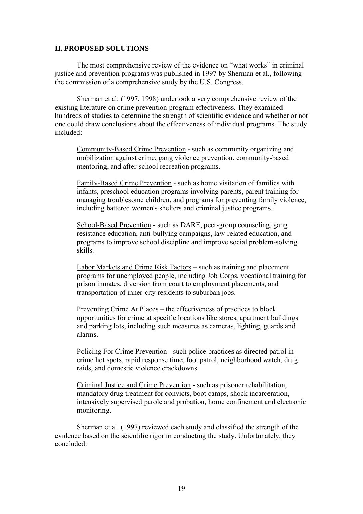## **II. PROPOSED SOLUTIONS**

 The most comprehensive review of the evidence on "what works" in criminal justice and prevention programs was published in 1997 by Sherman et al., following the commission of a comprehensive study by the U.S. Congress.

 Sherman et al. (1997, 1998) undertook a very comprehensive review of the existing literature on crime prevention program effectiveness. They examined hundreds of studies to determine the strength of scientific evidence and whether or not one could draw conclusions about the effectiveness of individual programs. The study included:

Community-Based Crime Prevention - such as community organizing and mobilization against crime, gang violence prevention, community-based mentoring, and after-school recreation programs.

Family-Based Crime Prevention - such as home visitation of families with infants, preschool education programs involving parents, parent training for managing troublesome children, and programs for preventing family violence, including battered women's shelters and criminal justice programs.

School-Based Prevention - such as DARE, peer-group counseling, gang resistance education, anti-bullying campaigns, law-related education, and programs to improve school discipline and improve social problem-solving skills.

Labor Markets and Crime Risk Factors – such as training and placement programs for unemployed people, including Job Corps, vocational training for prison inmates, diversion from court to employment placements, and transportation of inner-city residents to suburban jobs.

Preventing Crime At Places – the effectiveness of practices to block opportunities for crime at specific locations like stores, apartment buildings and parking lots, including such measures as cameras, lighting, guards and alarms.

Policing For Crime Prevention - such police practices as directed patrol in crime hot spots, rapid response time, foot patrol, neighborhood watch, drug raids, and domestic violence crackdowns.

Criminal Justice and Crime Prevention - such as prisoner rehabilitation, mandatory drug treatment for convicts, boot camps, shock incarceration, intensively supervised parole and probation, home confinement and electronic monitoring.

 Sherman et al. (1997) reviewed each study and classified the strength of the evidence based on the scientific rigor in conducting the study. Unfortunately, they concluded: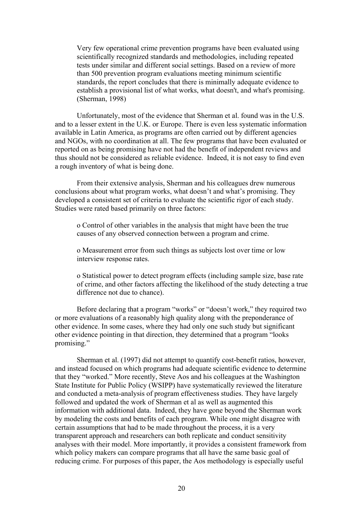Very few operational crime prevention programs have been evaluated using scientifically recognized standards and methodologies, including repeated tests under similar and different social settings. Based on a review of more than 500 prevention program evaluations meeting minimum scientific standards, the report concludes that there is minimally adequate evidence to establish a provisional list of what works, what doesn't, and what's promising. (Sherman, 1998)

 Unfortunately, most of the evidence that Sherman et al. found was in the U.S. and to a lesser extent in the U.K. or Europe. There is even less systematic information available in Latin America, as programs are often carried out by different agencies and NGOs, with no coordination at all. The few programs that have been evaluated or reported on as being promising have not had the benefit of independent reviews and thus should not be considered as reliable evidence. Indeed, it is not easy to find even a rough inventory of what is being done.

 From their extensive analysis, Sherman and his colleagues drew numerous conclusions about what program works, what doesn't and what's promising. They developed a consistent set of criteria to evaluate the scientific rigor of each study. Studies were rated based primarily on three factors:

o Control of other variables in the analysis that might have been the true causes of any observed connection between a program and crime.

o Measurement error from such things as subjects lost over time or low interview response rates.

o Statistical power to detect program effects (including sample size, base rate of crime, and other factors affecting the likelihood of the study detecting a true difference not due to chance).

 Before declaring that a program "works" or "doesn't work," they required two or more evaluations of a reasonably high quality along with the preponderance of other evidence. In some cases, where they had only one such study but significant other evidence pointing in that direction, they determined that a program "looks promising."

 Sherman et al. (1997) did not attempt to quantify cost-benefit ratios, however, and instead focused on which programs had adequate scientific evidence to determine that they "worked." More recently, Steve Aos and his colleagues at the Washington State Institute for Public Policy (WSIPP) have systematically reviewed the literature and conducted a meta-analysis of program effectiveness studies. They have largely followed and updated the work of Sherman et al as well as augmented this information with additional data. Indeed, they have gone beyond the Sherman work by modeling the costs and benefits of each program. While one might disagree with certain assumptions that had to be made throughout the process, it is a very transparent approach and researchers can both replicate and conduct sensitivity analyses with their model. More importantly, it provides a consistent framework from which policy makers can compare programs that all have the same basic goal of reducing crime. For purposes of this paper, the Aos methodology is especially useful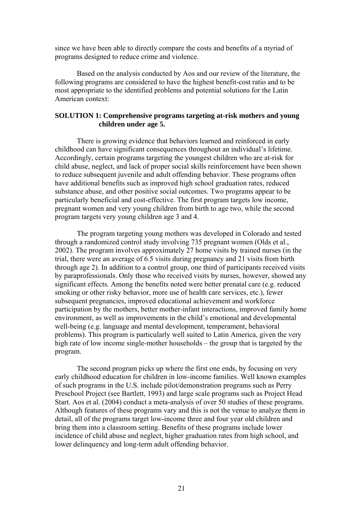since we have been able to directly compare the costs and benefits of a myriad of programs designed to reduce crime and violence.

 Based on the analysis conducted by Aos and our review of the literature, the following programs are considered to have the highest benefit-cost ratio and to be most appropriate to the identified problems and potential solutions for the Latin American context:

## **SOLUTION 1: Comprehensive programs targeting at-risk mothers and young children under age 5.**

There is growing evidence that behaviors learned and reinforced in early childhood can have significant consequences throughout an individual's lifetime. Accordingly, certain programs targeting the youngest children who are at-risk for child abuse, neglect, and lack of proper social skills reinforcement have been shown to reduce subsequent juvenile and adult offending behavior. These programs often have additional benefits such as improved high school graduation rates, reduced substance abuse, and other positive social outcomes. Two programs appear to be particularly beneficial and cost-effective. The first program targets low income, pregnant women and very young children from birth to age two, while the second program targets very young children age 3 and 4.

The program targeting young mothers was developed in Colorado and tested through a randomized control study involving 735 pregnant women (Olds et al., 2002). The program involves approximately 27 home visits by trained nurses (in the trial, there were an average of 6.5 visits during pregnancy and 21 visits from birth through age 2). In addition to a control group, one third of participants received visits by paraprofessionals. Only those who received visits by nurses, however, showed any significant effects. Among the benefits noted were better prenatal care (e.g. reduced smoking or other risky behavior, more use of health care services, etc.), fewer subsequent pregnancies, improved educational achievement and workforce participation by the mothers, better mother-infant interactions, improved family home environment, as well as improvements in the child's emotional and developmental well-being (e.g. language and mental development, temperament, behavioral problems). This program is particularly well suited to Latin America, given the very high rate of low income single-mother households – the group that is targeted by the program.

 The second program picks up where the first one ends, by focusing on very early childhood education for children in low-income families. Well known examples of such programs in the U.S. include pilot/demonstration programs such as Perry Preschool Project (see Bartlett, 1993) and large scale programs such as Project Head Start. Aos et al. (2004) conduct a meta-analysis of over 50 studies of these programs. Although features of these programs vary and this is not the venue to analyze them in detail, all of the programs target low-income three and four year old children and bring them into a classroom setting. Benefits of these programs include lower incidence of child abuse and neglect, higher graduation rates from high school, and lower delinquency and long-term adult offending behavior.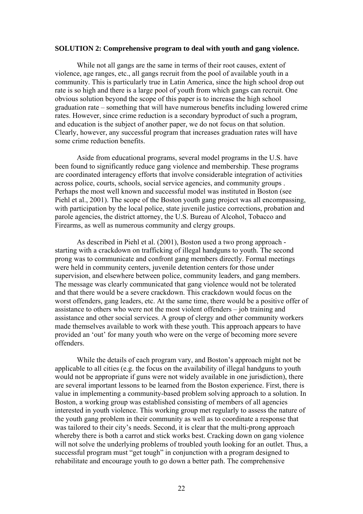#### **SOLUTION 2: Comprehensive program to deal with youth and gang violence.**

 While not all gangs are the same in terms of their root causes, extent of violence, age ranges, etc., all gangs recruit from the pool of available youth in a community. This is particularly true in Latin America, since the high school drop out rate is so high and there is a large pool of youth from which gangs can recruit. One obvious solution beyond the scope of this paper is to increase the high school graduation rate – something that will have numerous benefits including lowered crime rates. However, since crime reduction is a secondary byproduct of such a program, and education is the subject of another paper, we do not focus on that solution. Clearly, however, any successful program that increases graduation rates will have some crime reduction benefits.

 Aside from educational programs, several model programs in the U.S. have been found to significantly reduce gang violence and membership. These programs are coordinated interagency efforts that involve considerable integration of activities across police, courts, schools, social service agencies, and community groups . Perhaps the most well known and successful model was instituted in Boston (see Piehl et al., 2001). The scope of the Boston youth gang project was all encompassing, with participation by the local police, state juvenile justice corrections, probation and parole agencies, the district attorney, the U.S. Bureau of Alcohol, Tobacco and Firearms, as well as numerous community and clergy groups.

 As described in Piehl et al. (2001), Boston used a two prong approach starting with a crackdown on trafficking of illegal handguns to youth. The second prong was to communicate and confront gang members directly. Formal meetings were held in community centers, juvenile detention centers for those under supervision, and elsewhere between police, community leaders, and gang members. The message was clearly communicated that gang violence would not be tolerated and that there would be a severe crackdown. This crackdown would focus on the worst offenders, gang leaders, etc. At the same time, there would be a positive offer of assistance to others who were not the most violent offenders – job training and assistance and other social services. A group of clergy and other community workers made themselves available to work with these youth. This approach appears to have provided an 'out' for many youth who were on the verge of becoming more severe offenders.

 While the details of each program vary, and Boston's approach might not be applicable to all cities (e.g. the focus on the availability of illegal handguns to youth would not be appropriate if guns were not widely available in one jurisdiction), there are several important lessons to be learned from the Boston experience. First, there is value in implementing a community-based problem solving approach to a solution. In Boston, a working group was established consisting of members of all agencies interested in youth violence. This working group met regularly to assess the nature of the youth gang problem in their community as well as to coordinate a response that was tailored to their city's needs. Second, it is clear that the multi-prong approach whereby there is both a carrot and stick works best. Cracking down on gang violence will not solve the underlying problems of troubled youth looking for an outlet. Thus, a successful program must "get tough" in conjunction with a program designed to rehabilitate and encourage youth to go down a better path. The comprehensive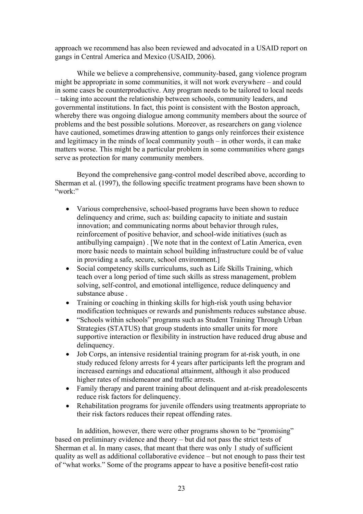approach we recommend has also been reviewed and advocated in a USAID report on gangs in Central America and Mexico (USAID, 2006).

 While we believe a comprehensive, community-based, gang violence program might be appropriate in some communities, it will not work everywhere – and could in some cases be counterproductive. Any program needs to be tailored to local needs – taking into account the relationship between schools, community leaders, and governmental institutions. In fact, this point is consistent with the Boston approach, whereby there was ongoing dialogue among community members about the source of problems and the best possible solutions. Moreover, as researchers on gang violence have cautioned, sometimes drawing attention to gangs only reinforces their existence and legitimacy in the minds of local community youth – in other words, it can make matters worse. This might be a particular problem in some communities where gangs serve as protection for many community members.

 Beyond the comprehensive gang-control model described above, according to Sherman et al. (1997), the following specific treatment programs have been shown to "work"

- Various comprehensive, school-based programs have been shown to reduce delinquency and crime, such as: building capacity to initiate and sustain innovation; and communicating norms about behavior through rules, reinforcement of positive behavior, and school-wide initiatives (such as antibullying campaign) . [We note that in the context of Latin America, even more basic needs to maintain school building infrastructure could be of value in providing a safe, secure, school environment.]
- Social competency skills curriculums, such as Life Skills Training, which teach over a long period of time such skills as stress management, problem solving, self-control, and emotional intelligence, reduce delinquency and substance abuse .
- Training or coaching in thinking skills for high-risk youth using behavior modification techniques or rewards and punishments reduces substance abuse.
- "Schools within schools" programs such as Student Training Through Urban Strategies (STATUS) that group students into smaller units for more supportive interaction or flexibility in instruction have reduced drug abuse and delinquency.
- Job Corps, an intensive residential training program for at-risk youth, in one study reduced felony arrests for 4 years after participants left the program and increased earnings and educational attainment, although it also produced higher rates of misdemeanor and traffic arrests.
- Family therapy and parent training about delinquent and at-risk preadolescents reduce risk factors for delinquency.
- Rehabilitation programs for juvenile offenders using treatments appropriate to their risk factors reduces their repeat offending rates.

 In addition, however, there were other programs shown to be "promising" based on preliminary evidence and theory – but did not pass the strict tests of Sherman et al. In many cases, that meant that there was only 1 study of sufficient quality as well as additional collaborative evidence – but not enough to pass their test of "what works." Some of the programs appear to have a positive benefit-cost ratio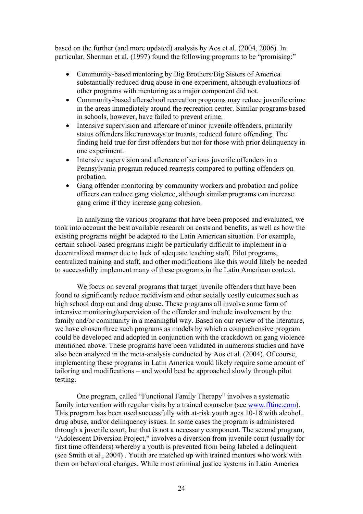based on the further (and more updated) analysis by Aos et al. (2004, 2006). In particular, Sherman et al. (1997) found the following programs to be "promising:"

- Community-based mentoring by Big Brothers/Big Sisters of America substantially reduced drug abuse in one experiment, although evaluations of other programs with mentoring as a major component did not.
- Community-based afterschool recreation programs may reduce juvenile crime in the areas immediately around the recreation center. Similar programs based in schools, however, have failed to prevent crime.
- Intensive supervision and aftercare of minor juvenile offenders, primarily status offenders like runaways or truants, reduced future offending. The finding held true for first offenders but not for those with prior delinquency in one experiment.
- Intensive supervision and aftercare of serious juvenile offenders in a Pennsylvania program reduced rearrests compared to putting offenders on probation.
- Gang offender monitoring by community workers and probation and police officers can reduce gang violence, although similar programs can increase gang crime if they increase gang cohesion.

 In analyzing the various programs that have been proposed and evaluated, we took into account the best available research on costs and benefits, as well as how the existing programs might be adapted to the Latin American situation. For example, certain school-based programs might be particularly difficult to implement in a decentralized manner due to lack of adequate teaching staff. Pilot programs, centralized training and staff, and other modifications like this would likely be needed to successfully implement many of these programs in the Latin American context.

 We focus on several programs that target juvenile offenders that have been found to significantly reduce recidivism and other socially costly outcomes such as high school drop out and drug abuse. These programs all involve some form of intensive monitoring/supervision of the offender and include involvement by the family and/or community in a meaningful way. Based on our review of the literature, we have chosen three such programs as models by which a comprehensive program could be developed and adopted in conjunction with the crackdown on gang violence mentioned above. These programs have been validated in numerous studies and have also been analyzed in the meta-analysis conducted by Aos et al. (2004). Of course, implementing these programs in Latin America would likely require some amount of tailoring and modifications – and would best be approached slowly through pilot testing.

 One program, called "Functional Family Therapy" involves a systematic family intervention with regular visits by a trained counselor (see www.fftinc.com). This program has been used successfully with at-risk youth ages 10-18 with alcohol, drug abuse, and/or delinquency issues. In some cases the program is administered through a juvenile court, but that is not a necessary component. The second program, "Adolescent Diversion Project," involves a diversion from juvenile court (usually for first time offenders) whereby a youth is prevented from being labeled a delinquent (see Smith et al., 2004) . Youth are matched up with trained mentors who work with them on behavioral changes. While most criminal justice systems in Latin America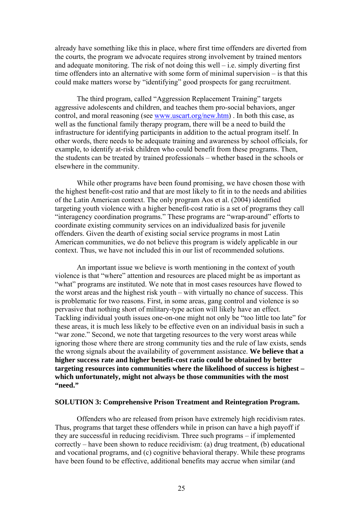already have something like this in place, where first time offenders are diverted from the courts, the program we advocate requires strong involvement by trained mentors and adequate monitoring. The risk of not doing this well  $-$  i.e. simply diverting first time offenders into an alternative with some form of minimal supervision – is that this could make matters worse by "identifying" good prospects for gang recruitment.

 The third program, called "Aggression Replacement Training" targets aggressive adolescents and children, and teaches them pro-social behaviors, anger control, and moral reasoning (see www.uscart.org/new.htm). In both this case, as well as the functional family therapy program, there will be a need to build the infrastructure for identifying participants in addition to the actual program itself. In other words, there needs to be adequate training and awareness by school officials, for example, to identify at-risk children who could benefit from these programs. Then, the students can be treated by trained professionals – whether based in the schools or elsewhere in the community.

While other programs have been found promising, we have chosen those with the highest benefit-cost ratio and that are most likely to fit in to the needs and abilities of the Latin American context. The only program Aos et al. (2004) identified targeting youth violence with a higher benefit-cost ratio is a set of programs they call "interagency coordination programs." These programs are "wrap-around" efforts to coordinate existing community services on an individualized basis for juvenile offenders. Given the dearth of existing social service programs in most Latin American communities, we do not believe this program is widely applicable in our context. Thus, we have not included this in our list of recommended solutions.

 An important issue we believe is worth mentioning in the context of youth violence is that "where" attention and resources are placed might be as important as "what" programs are instituted. We note that in most cases resources have flowed to the worst areas and the highest risk youth – with virtually no chance of success. This is problematic for two reasons. First, in some areas, gang control and violence is so pervasive that nothing short of military-type action will likely have an effect. Tackling individual youth issues one-on-one might not only be "too little too late" for these areas, it is much less likely to be effective even on an individual basis in such a "war zone." Second, we note that targeting resources to the very worst areas while ignoring those where there are strong community ties and the rule of law exists, sends the wrong signals about the availability of government assistance. **We believe that a higher success rate and higher benefit-cost ratio could be obtained by better targeting resources into communities where the likelihood of success is highest – which unfortunately, might not always be those communities with the most "need."**

#### **SOLUTION 3: Comprehensive Prison Treatment and Reintegration Program.**

 Offenders who are released from prison have extremely high recidivism rates. Thus, programs that target these offenders while in prison can have a high payoff if they are successful in reducing recidivism. Three such programs – if implemented correctly – have been shown to reduce recidivism: (a) drug treatment, (b) educational and vocational programs, and (c) cognitive behavioral therapy. While these programs have been found to be effective, additional benefits may accrue when similar (and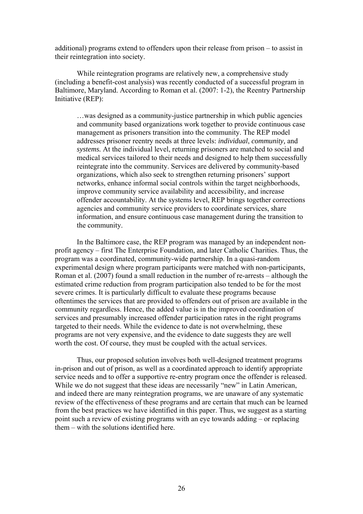additional) programs extend to offenders upon their release from prison – to assist in their reintegration into society.

 While reintegration programs are relatively new, a comprehensive study (including a benefit-cost analysis) was recently conducted of a successful program in Baltimore, Maryland. According to Roman et al. (2007: 1-2), the Reentry Partnership Initiative (REP):

…was designed as a community-justice partnership in which public agencies and community based organizations work together to provide continuous case management as prisoners transition into the community. The REP model addresses prisoner reentry needs at three levels: *individual*, *community,* and *systems.* At the individual level, returning prisoners are matched to social and medical services tailored to their needs and designed to help them successfully reintegrate into the community. Services are delivered by community-based organizations, which also seek to strengthen returning prisoners' support networks, enhance informal social controls within the target neighborhoods, improve community service availability and accessibility, and increase offender accountability. At the systems level, REP brings together corrections agencies and community service providers to coordinate services, share information, and ensure continuous case management during the transition to the community.

 In the Baltimore case, the REP program was managed by an independent nonprofit agency – first The Enterprise Foundation, and later Catholic Charities. Thus, the program was a coordinated, community-wide partnership. In a quasi-random experimental design where program participants were matched with non-participants, Roman et al. (2007) found a small reduction in the number of re-arrests – although the estimated crime reduction from program participation also tended to be for the most severe crimes. It is particularly difficult to evaluate these programs because oftentimes the services that are provided to offenders out of prison are available in the community regardless. Hence, the added value is in the improved coordination of services and presumably increased offender participation rates in the right programs targeted to their needs. While the evidence to date is not overwhelming, these programs are not very expensive, and the evidence to date suggests they are well worth the cost. Of course, they must be coupled with the actual services.

 Thus, our proposed solution involves both well-designed treatment programs in-prison and out of prison, as well as a coordinated approach to identify appropriate service needs and to offer a supportive re-entry program once the offender is released. While we do not suggest that these ideas are necessarily "new" in Latin American, and indeed there are many reintegration programs, we are unaware of any systematic review of the effectiveness of these programs and are certain that much can be learned from the best practices we have identified in this paper. Thus, we suggest as a starting point such a review of existing programs with an eye towards adding – or replacing them – with the solutions identified here.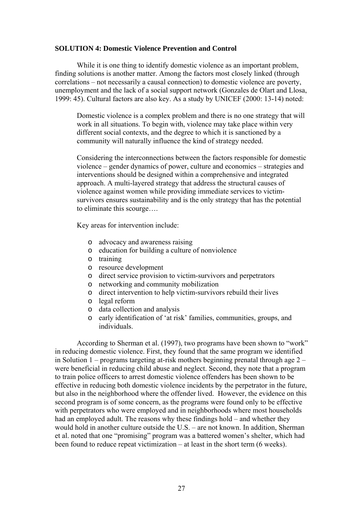## **SOLUTION 4: Domestic Violence Prevention and Control**

 While it is one thing to identify domestic violence as an important problem, finding solutions is another matter. Among the factors most closely linked (through correlations – not necessarily a causal connection) to domestic violence are poverty, unemployment and the lack of a social support network (Gonzales de Olart and Llosa, 1999: 45). Cultural factors are also key. As a study by UNICEF (2000: 13-14) noted:

Domestic violence is a complex problem and there is no one strategy that will work in all situations. To begin with, violence may take place within very different social contexts, and the degree to which it is sanctioned by a community will naturally influence the kind of strategy needed.

Considering the interconnections between the factors responsible for domestic violence – gender dynamics of power, culture and economics – strategies and interventions should be designed within a comprehensive and integrated approach. A multi-layered strategy that address the structural causes of violence against women while providing immediate services to victimsurvivors ensures sustainability and is the only strategy that has the potential to eliminate this scourge….

Key areas for intervention include:

- o advocacy and awareness raising
- o education for building a culture of nonviolence
- o training
- o resource development
- o direct service provision to victim-survivors and perpetrators
- o networking and community mobilization
- o direct intervention to help victim-survivors rebuild their lives
- o legal reform
- o data collection and analysis
- o early identification of 'at risk' families, communities, groups, and individuals.

 According to Sherman et al. (1997), two programs have been shown to "work" in reducing domestic violence. First, they found that the same program we identified in Solution 1 – programs targeting at-risk mothers beginning prenatal through age 2 – were beneficial in reducing child abuse and neglect. Second, they note that a program to train police officers to arrest domestic violence offenders has been shown to be effective in reducing both domestic violence incidents by the perpetrator in the future, but also in the neighborhood where the offender lived. However, the evidence on this second program is of some concern, as the programs were found only to be effective with perpetrators who were employed and in neighborhoods where most households had an employed adult. The reasons why these findings hold – and whether they would hold in another culture outside the U.S. – are not known. In addition, Sherman et al. noted that one "promising" program was a battered women's shelter, which had been found to reduce repeat victimization – at least in the short term (6 weeks).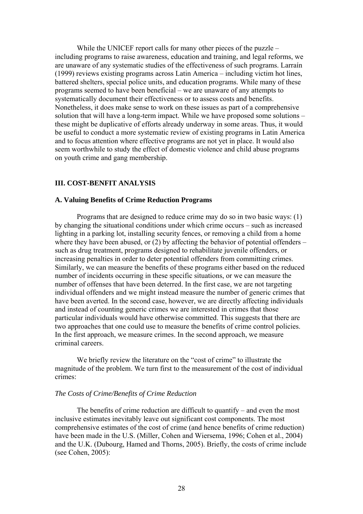While the UNICEF report calls for many other pieces of the puzzle – including programs to raise awareness, education and training, and legal reforms, we are unaware of any systematic studies of the effectiveness of such programs. Larraín (1999) reviews existing programs across Latin America – including victim hot lines, battered shelters, special police units, and education programs. While many of these programs seemed to have been beneficial – we are unaware of any attempts to systematically document their effectiveness or to assess costs and benefits. Nonetheless, it does make sense to work on these issues as part of a comprehensive solution that will have a long-term impact. While we have proposed some solutions – these might be duplicative of efforts already underway in some areas. Thus, it would be useful to conduct a more systematic review of existing programs in Latin America and to focus attention where effective programs are not yet in place. It would also seem worthwhile to study the effect of domestic violence and child abuse programs on youth crime and gang membership.

## **III. COST-BENFIT ANALYSIS**

## **A. Valuing Benefits of Crime Reduction Programs**

 Programs that are designed to reduce crime may do so in two basic ways: (1) by changing the situational conditions under which crime occurs – such as increased lighting in a parking lot, installing security fences, or removing a child from a home where they have been abused, or  $(2)$  by affecting the behavior of potential offenders – such as drug treatment, programs designed to rehabilitate juvenile offenders, or increasing penalties in order to deter potential offenders from committing crimes. Similarly, we can measure the benefits of these programs either based on the reduced number of incidents occurring in these specific situations, or we can measure the number of offenses that have been deterred. In the first case, we are not targeting individual offenders and we might instead measure the number of generic crimes that have been averted. In the second case, however, we are directly affecting individuals and instead of counting generic crimes we are interested in crimes that those particular individuals would have otherwise committed. This suggests that there are two approaches that one could use to measure the benefits of crime control policies. In the first approach, we measure crimes. In the second approach, we measure criminal careers.

 We briefly review the literature on the "cost of crime" to illustrate the magnitude of the problem. We turn first to the measurement of the cost of individual crimes:

#### *The Costs of Crime/Benefits of Crime Reduction*

 The benefits of crime reduction are difficult to quantify – and even the most inclusive estimates inevitably leave out significant cost components. The most comprehensive estimates of the cost of crime (and hence benefits of crime reduction) have been made in the U.S. (Miller, Cohen and Wiersema, 1996; Cohen et al., 2004) and the U.K. (Dubourg, Hamed and Thorns, 2005). Briefly, the costs of crime include (see Cohen, 2005):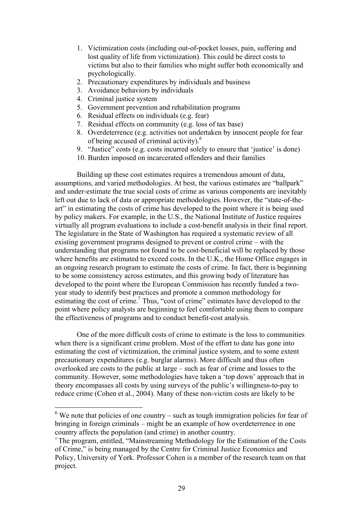- 1. Victimization costs (including out-of-pocket losses, pain, suffering and lost quality of life from victimization). This could be direct costs to victims but also to their families who might suffer both economically and psychologically.
- 2. Precautionary expenditures by individuals and business
- 3. Avoidance behaviors by individuals
- 4. Criminal justice system
- 5. Government prevention and rehabilitation programs
- 6. Residual effects on individuals (e.g. fear)
- 7. Residual effects on community (e.g. loss of tax base)
- 8. Overdeterrence (e.g. activities not undertaken by innocent people for fear of being accused of criminal activity).<sup>6</sup>
- 9. "Justice" costs (e.g. costs incurred solely to ensure that 'justice' is done)
- 10. Burden imposed on incarcerated offenders and their families

 Building up these cost estimates requires a tremendous amount of data, assumptions, and varied methodologies. At best, the various estimates are "ballpark" and under-estimate the true social costs of crime as various components are inevitably left out due to lack of data or appropriate methodologies. However, the "state-of-theart" in estimating the costs of crime has developed to the point where it is being used by policy makers. For example, in the U.S., the National Institute of Justice requires virtually all program evaluations to include a cost-benefit analysis in their final report. The legislature in the State of Washington has required a systematic review of all existing government programs designed to prevent or control crime – with the understanding that programs not found to be cost-beneficial will be replaced by those where benefits are estimated to exceed costs. In the U.K., the Home Office engages in an ongoing research program to estimate the costs of crime. In fact, there is beginning to be some consistency across estimates, and this growing body of literature has developed to the point where the European Commission has recently funded a twoyear study to identify best practices and promote a common methodology for estimating the cost of crime.<sup>7</sup> Thus, "cost of crime" estimates have developed to the point where policy analysts are beginning to feel comfortable using them to compare the effectiveness of programs and to conduct benefit-cost analysis.

 One of the more difficult costs of crime to estimate is the loss to communities when there is a significant crime problem. Most of the effort to date has gone into estimating the cost of victimization, the criminal justice system, and to some extent precautionary expenditures (e.g. burglar alarms). More difficult and thus often overlooked are costs to the public at large – such as fear of crime and losses to the community. However, some methodologies have taken a 'top down' approach that in theory encompasses all costs by using surveys of the public's willingness-to-pay to reduce crime (Cohen et al., 2004). Many of these non-victim costs are likely to be

<sup>&</sup>lt;sup>6</sup> We note that policies of one country – such as tough immigration policies for fear of bringing in foreign criminals – might be an example of how overdeterrence in one country affects the population (and crime) in another country. 7 The program, entitled, "Mainstreaming Methodology for the Estimation of the Costs

of Crime," is being managed by the Centre for Criminal Justice Economics and Policy, University of York. Professor Cohen is a member of the research team on that project.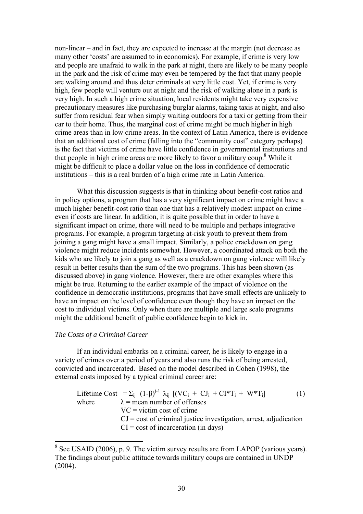non-linear – and in fact, they are expected to increase at the margin (not decrease as many other 'costs' are assumed to in economics). For example, if crime is very low and people are unafraid to walk in the park at night, there are likely to be many people in the park and the risk of crime may even be tempered by the fact that many people are walking around and thus deter criminals at very little cost. Yet, if crime is very high, few people will venture out at night and the risk of walking alone in a park is very high. In such a high crime situation, local residents might take very expensive precautionary measures like purchasing burglar alarms, taking taxis at night, and also suffer from residual fear when simply waiting outdoors for a taxi or getting from their car to their home. Thus, the marginal cost of crime might be much higher in high crime areas than in low crime areas. In the context of Latin America, there is evidence that an additional cost of crime (falling into the "community cost" category perhaps) is the fact that victims of crime have little confidence in governmental institutions and that people in high crime areas are more likely to favor a military coup.<sup>8</sup> While it might be difficult to place a dollar value on the loss in confidence of democratic institutions – this is a real burden of a high crime rate in Latin America.

What this discussion suggests is that in thinking about benefit-cost ratios and in policy options, a program that has a very significant impact on crime might have a much higher benefit-cost ratio than one that has a relatively modest impact on crime – even if costs are linear. In addition, it is quite possible that in order to have a significant impact on crime, there will need to be multiple and perhaps integrative programs. For example, a program targeting at-risk youth to prevent them from joining a gang might have a small impact. Similarly, a police crackdown on gang violence might reduce incidents somewhat. However, a coordinated attack on both the kids who are likely to join a gang as well as a crackdown on gang violence will likely result in better results than the sum of the two programs. This has been shown (as discussed above) in gang violence. However, there are other examples where this might be true. Returning to the earlier example of the impact of violence on the confidence in democratic institutions, programs that have small effects are unlikely to have an impact on the level of confidence even though they have an impact on the cost to individual victims. Only when there are multiple and large scale programs might the additional benefit of public confidence begin to kick in.

## *The Costs of a Criminal Career*

 $\overline{a}$ 

 If an individual embarks on a criminal career, he is likely to engage in a variety of crimes over a period of years and also runs the risk of being arrested, convicted and incarcerated. Based on the model described in Cohen (1998), the external costs imposed by a typical criminal career are:

|       | Lifetime Cost = $\Sigma_{ii}$ $(1-\beta)^{j-1} \lambda_{ii}$ $[ (VC_i + CJ_i + CI^*T_i + W^*T_i ]$ | (1) |
|-------|----------------------------------------------------------------------------------------------------|-----|
| where | $\lambda$ = mean number of offenses                                                                |     |
|       | $VC = victim cost of crime$                                                                        |     |
|       | $CI = cost of criminal justice investigation, arrest, adjudication$                                |     |
|       | $CI = cost of incarceration (in days)$                                                             |     |

 $8$  See USAID (2006), p. 9. The victim survey results are from LAPOP (various years). The findings about public attitude towards military coups are contained in UNDP (2004).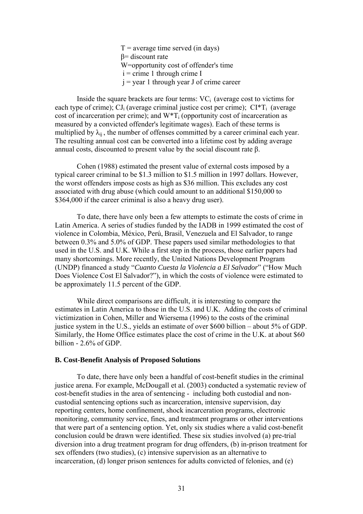$T =$  average time served (in days) β= discount rate W=opportunity cost of offender's time  $i =$  crime 1 through crime I  $j = \text{year } 1$  through year J of crime career

Inside the square brackets are four terms:  $VC_i$  (average cost to victims for each type of crime);  $CI_i$  (average criminal justice cost per crime);  $CI^*T_i$  (average cost of incarceration per crime); and  $W^*T_i$  (opportunity cost of incarceration as measured by a convicted offender's legitimate wages). Each of these terms is multiplied by  $\lambda_{ii}$ , the number of offenses committed by a career criminal each year. The resulting annual cost can be converted into a lifetime cost by adding average annual costs, discounted to present value by the social discount rate β.

 Cohen (1988) estimated the present value of external costs imposed by a typical career criminal to be \$1.3 million to \$1.5 million in 1997 dollars. However, the worst offenders impose costs as high as \$36 million. This excludes any cost associated with drug abuse (which could amount to an additional \$150,000 to \$364,000 if the career criminal is also a heavy drug user).

 To date, there have only been a few attempts to estimate the costs of crime in Latin America. A series of studies funded by the IADB in 1999 estimated the cost of violence in Colombia, México, Perú, Brasil, Venezuela and El Salvador, to range between 0.3% and 5.0% of GDP. These papers used similar methodologies to that used in the U.S. and U.K. While a first step in the process, those earlier papers had many shortcomings. More recently, the United Nations Development Program (UNDP) financed a study "*Cuanto Cuesta la Violencia a El Salvador*" ("How Much Does Violence Cost El Salvador?"), in which the costs of violence were estimated to be approximately 11.5 percent of the GDP.

 While direct comparisons are difficult, it is interesting to compare the estimates in Latin America to those in the U.S. and U.K. Adding the costs of criminal victimization in Cohen, Miller and Wiersema (1996) to the costs of the criminal justice system in the U.S., yields an estimate of over \$600 billion – about 5% of GDP. Similarly, the Home Office estimates place the cost of crime in the U.K. at about \$60 billion - 2.6% of GDP.

#### **B. Cost-Benefit Analysis of Proposed Solutions**

To date, there have only been a handful of cost-benefit studies in the criminal justice arena. For example, McDougall et al. (2003) conducted a systematic review of cost-benefit studies in the area of sentencing - including both custodial and noncustodial sentencing options such as incarceration, intensive supervision, day reporting centers, home confinement, shock incarceration programs, electronic monitoring, community service, fines, and treatment programs or other interventions that were part of a sentencing option. Yet, only six studies where a valid cost-benefit conclusion could be drawn were identified. These six studies involved (a) pre-trial diversion into a drug treatment program for drug offenders, (b) in-prison treatment for sex offenders (two studies), (c) intensive supervision as an alternative to incarceration, (d) longer prison sentences for adults convicted of felonies, and (e)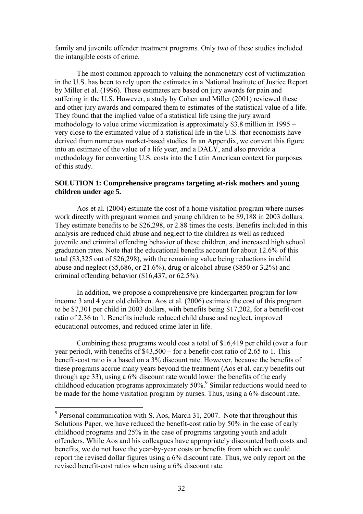family and juvenile offender treatment programs. Only two of these studies included the intangible costs of crime.

 The most common approach to valuing the nonmonetary cost of victimization in the U.S. has been to rely upon the estimates in a National Institute of Justice Report by Miller et al. (1996). These estimates are based on jury awards for pain and suffering in the U.S. However, a study by Cohen and Miller (2001) reviewed these and other jury awards and compared them to estimates of the statistical value of a life. They found that the implied value of a statistical life using the jury award methodology to value crime victimization is approximately \$3.8 million in 1995 – very close to the estimated value of a statistical life in the U.S. that economists have derived from numerous market-based studies. In an Appendix, we convert this figure into an estimate of the value of a life year, and a DALY, and also provide a methodology for converting U.S. costs into the Latin American context for purposes of this study.

## **SOLUTION 1: Comprehensive programs targeting at-risk mothers and young children under age 5.**

 Aos et al. (2004) estimate the cost of a home visitation program where nurses work directly with pregnant women and young children to be \$9,188 in 2003 dollars. They estimate benefits to be \$26,298, or 2.88 times the costs. Benefits included in this analysis are reduced child abuse and neglect to the children as well as reduced juvenile and criminal offending behavior of these children, and increased high school graduation rates. Note that the educational benefits account for about 12.6% of this total (\$3,325 out of \$26,298), with the remaining value being reductions in child abuse and neglect (\$5,686, or 21.6%), drug or alcohol abuse (\$850 or 3.2%) and criminal offending behavior (\$16,437, or 62.5%).

 In addition, we propose a comprehensive pre-kindergarten program for low income 3 and 4 year old children. Aos et al. (2006) estimate the cost of this program to be \$7,301 per child in 2003 dollars, with benefits being \$17,202, for a benefit-cost ratio of 2.36 to 1. Benefits include reduced child abuse and neglect, improved educational outcomes, and reduced crime later in life.

 Combining these programs would cost a total of \$16,419 per child (over a four year period), with benefits of \$43,500 – for a benefit-cost ratio of 2.65 to 1. This benefit-cost ratio is a based on a 3% discount rate. However, because the benefits of these programs accrue many years beyond the treatment (Aos et al. carry benefits out through age 33), using a 6% discount rate would lower the benefits of the early childhood education programs approximately 50%.<sup>9</sup> Similar reductions would need to be made for the home visitation program by nurses. Thus, using a 6% discount rate,

<sup>&</sup>lt;sup>9</sup> Personal communication with S. Aos, March 31, 2007. Note that throughout this Solutions Paper, we have reduced the benefit-cost ratio by 50% in the case of early childhood programs and 25% in the case of programs targeting youth and adult offenders. While Aos and his colleagues have appropriately discounted both costs and benefits, we do not have the year-by-year costs or benefits from which we could report the revised dollar figures using a 6% discount rate. Thus, we only report on the revised benefit-cost ratios when using a 6% discount rate.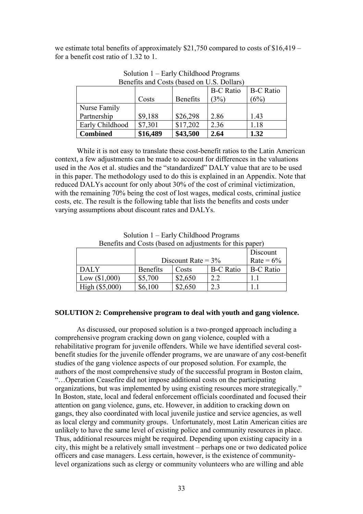we estimate total benefits of approximately \$21,750 compared to costs of \$16,419 – for a benefit cost ratio of 1.32 to 1.

|                 |          |                 | <b>B-C Ratio</b> | <b>B-C Ratio</b> |
|-----------------|----------|-----------------|------------------|------------------|
|                 | Costs    | <b>Benefits</b> | (3%)             | (6%)             |
| Nurse Family    |          |                 |                  |                  |
| Partnership     | \$9,188  | \$26,298        | 2.86             | 143              |
| Early Childhood | \$7,301  | \$17,202        | 2.36             | 1.18             |
| <b>Combined</b> | \$16,489 | \$43,500        | 2.64             | 1.32             |

Solution 1 – Early Childhood Programs Benefits and Costs (based on U.S. Dollars)

 While it is not easy to translate these cost-benefit ratios to the Latin American context, a few adjustments can be made to account for differences in the valuations used in the Aos et al. studies and the "standardized" DALY value that are to be used in this paper. The methodology used to do this is explained in an Appendix. Note that reduced DALYs account for only about 30% of the cost of criminal victimization, with the remaining 70% being the cost of lost wages, medical costs, criminal justice costs, etc. The result is the following table that lists the benefits and costs under varying assumptions about discount rates and DALYs.

Benefits and Costs (based on adjustments for this paper) Discount Rate  $= 3\%$ **Discount**  $Rate = 6\%$ DALY Benefits Costs B-C Ratio B-C Ratio Low (\$1,000) \$5,700 \$2,650 2.2 1.1 High (\$5,000)  $\begin{array}{|l|l|} \hline 86,100 & 82,650 & 2.3 \end{array}$  1.1

Solution 1 – Early Childhood Programs

## **SOLUTION 2: Comprehensive program to deal with youth and gang violence.**

 As discussed, our proposed solution is a two-pronged approach including a comprehensive program cracking down on gang violence, coupled with a rehabilitative program for juvenile offenders. While we have identified several costbenefit studies for the juvenile offender programs, we are unaware of any cost-benefit studies of the gang violence aspects of our proposed solution. For example, the authors of the most comprehensive study of the successful program in Boston claim, "…Operation Ceasefire did not impose additional costs on the participating organizations, but was implemented by using existing resources more strategically." In Boston, state, local and federal enforcement officials coordinated and focused their attention on gang violence, guns, etc. However, in addition to cracking down on gangs, they also coordinated with local juvenile justice and service agencies, as well as local clergy and community groups. Unfortunately, most Latin American cities are unlikely to have the same level of existing police and community resources in place. Thus, additional resources might be required. Depending upon existing capacity in a city, this might be a relatively small investment – perhaps one or two dedicated police officers and case managers. Less certain, however, is the existence of communitylevel organizations such as clergy or community volunteers who are willing and able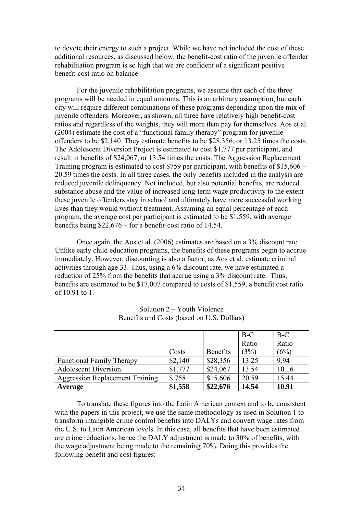to devote their energy to such a project. While we have not included the cost of these additional resources, as discussed below, the benefit-cost ratio of the juvenile offender rehabilitation program is so high that we are confident of a significant positive benefit-cost ratio on balance.

 For the juvenile rehabilitation programs, we assume that each of the three programs will be needed in equal amounts. This is an arbitrary assumption, but each city will require different combinations of these programs depending upon the mix of juvenile offenders. Moreover, as shown, all three have relatively high benefit-cost ratios and regardless of the weights, they will more than pay for themselves. Aos et al. (2004) estimate the cost of a "functional family therapy" program for juvenile offenders to be \$2,140. They estimate benefits to be \$28,356, or 13.25 times the costs. The Adolescent Diversion Project is estimated to cost \$1,777 per participant, and result in benefits of \$24,067, or 13.54 times the costs. The Aggression Replacement Training program is estimated to cost \$759 per participant, with benefits of \$15,606 – 20.59 times the costs. In all three cases, the only benefits included in the analysis are reduced juvenile delinquency. Not included, but also potential benefits, are reduced substance abuse and the value of increased long-term wage productivity to the extent these juvenile offenders stay in school and ultimately have more successful working lives than they would without treatment. Assuming an equal percentage of each program, the average cost per participant is estimated to be \$1,559, with average benefits being \$22,676 – for a benefit-cost ratio of 14.54.

 Once again, the Aos et al. (2006) estimates are based on a 3% discount rate. Unlike early child education programs, the benefits of these programs begin to accrue immediately. However, discounting is also a factor, as Aos et al. estimate criminal activities through age 33. Thus, using a 6% discount rate, we have estimated a reduction of 25% from the benefits that accrue using a 3% discount rate. Thus, benefits are estimated to be \$17,007 compared to costs of \$1,559, a benefit cost ratio of 10.91 to 1.

|                                        |         |                 | $B-C$ | $B-C$ |
|----------------------------------------|---------|-----------------|-------|-------|
|                                        |         |                 | Ratio | Ratio |
|                                        | Costs   | <b>Benefits</b> | (3%)  | (6%)  |
| <b>Functional Family Therapy</b>       | \$2,140 | \$28,356        | 13.25 | 9.94  |
| <b>Adolescent Diversion</b>            | \$1,777 | \$24,067        | 13.54 | 10.16 |
| <b>Aggression Replacement Training</b> | \$758   | \$15,606        | 20.59 | 15.44 |
| Average                                | \$1,558 | \$22,676        | 14.54 | 10.91 |

Solution 2 – Youth Violence Benefits and Costs (based on U.S. Dollars)

 To translate these figures into the Latin American context and to be consistent with the papers in this project, we use the same methodology as used in Solution 1 to transform intangible crime control benefits into DALYs and convert wage rates from the U.S. to Latin American levels. In this case, all benefits that have been estimated are crime reductions, hence the DALY adjustment is made to 30% of benefits, with the wage adjustment being made to the remaining 70%. Doing this provides the following benefit and cost figures: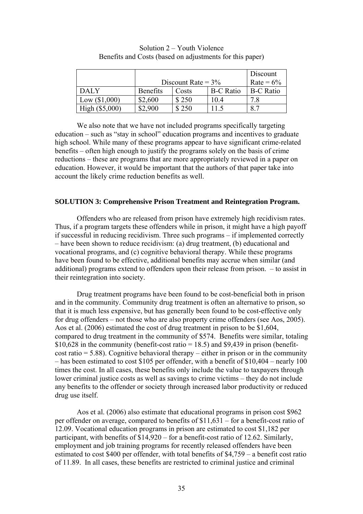|                |          |                       |                  | Discount         |
|----------------|----------|-----------------------|------------------|------------------|
|                |          | Discount Rate = $3\%$ |                  | Rate = $6\%$     |
| <b>DALY</b>    | Benefits | Costs                 | <b>B-C Ratio</b> | <b>B-C Ratio</b> |
| Low (\$1,000)  | \$2,600  | \$250                 | 104              | 7.8              |
| High (\$5,000) | \$2,900  | \$250                 |                  | 87               |

Solution 2 – Youth Violence Benefits and Costs (based on adjustments for this paper)

 We also note that we have not included programs specifically targeting education – such as "stay in school" education programs and incentives to graduate high school. While many of these programs appear to have significant crime-related benefits – often high enough to justify the programs solely on the basis of crime reductions – these are programs that are more appropriately reviewed in a paper on education. However, it would be important that the authors of that paper take into account the likely crime reduction benefits as well.

#### **SOLUTION 3: Comprehensive Prison Treatment and Reintegration Program.**

 Offenders who are released from prison have extremely high recidivism rates. Thus, if a program targets these offenders while in prison, it might have a high payoff if successful in reducing recidivism. Three such programs – if implemented correctly – have been shown to reduce recidivism: (a) drug treatment, (b) educational and vocational programs, and (c) cognitive behavioral therapy. While these programs have been found to be effective, additional benefits may accrue when similar (and additional) programs extend to offenders upon their release from prison. – to assist in their reintegration into society.

 Drug treatment programs have been found to be cost-beneficial both in prison and in the community. Community drug treatment is often an alternative to prison, so that it is much less expensive, but has generally been found to be cost-effective only for drug offenders – not those who are also property crime offenders (see Aos, 2005). Aos et al. (2006) estimated the cost of drug treatment in prison to be \$1,604, compared to drug treatment in the community of \$574. Benefits were similar, totaling  $$10,628$  in the community (benefit-cost ratio = 18.5) and \$9,439 in prison (benefit $cost ratio = 5.88$ ). Cognitive behavioral therapy – either in prison or in the community – has been estimated to cost \$105 per offender, with a benefit of \$10,404 – nearly 100 times the cost. In all cases, these benefits only include the value to taxpayers through lower criminal justice costs as well as savings to crime victims – they do not include any benefits to the offender or society through increased labor productivity or reduced drug use itself.

 Aos et al. (2006) also estimate that educational programs in prison cost \$962 per offender on average, compared to benefits of \$11,631 – for a benefit-cost ratio of 12.09. Vocational education programs in prison are estimated to cost \$1,182 per participant, with benefits of \$14,920 – for a benefit-cost ratio of 12.62. Similarly, employment and job training programs for recently released offenders have been estimated to cost \$400 per offender, with total benefits of \$4,759 – a benefit cost ratio of 11.89. In all cases, these benefits are restricted to criminal justice and criminal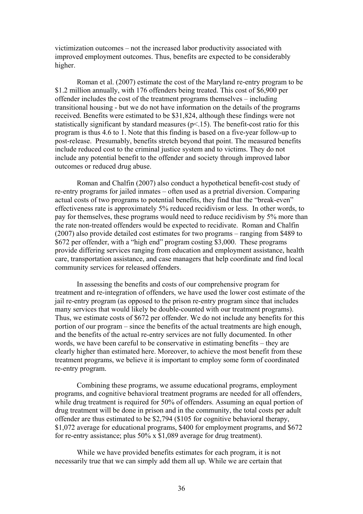victimization outcomes – not the increased labor productivity associated with improved employment outcomes. Thus, benefits are expected to be considerably higher.

 Roman et al. (2007) estimate the cost of the Maryland re-entry program to be \$1.2 million annually, with 176 offenders being treated. This cost of \$6,900 per offender includes the cost of the treatment programs themselves – including transitional housing - but we do not have information on the details of the programs received. Benefits were estimated to be \$31,824, although these findings were not statistically significant by standard measures ( $p$ <.15). The benefit-cost ratio for this program is thus 4.6 to 1. Note that this finding is based on a five-year follow-up to post-release. Presumably, benefits stretch beyond that point. The measured benefits include reduced cost to the criminal justice system and to victims. They do not include any potential benefit to the offender and society through improved labor outcomes or reduced drug abuse.

 Roman and Chalfin (2007) also conduct a hypothetical benefit-cost study of re-entry programs for jailed inmates – often used as a pretrial diversion. Comparing actual costs of two programs to potential benefits, they find that the "break-even" effectiveness rate is approximately 5% reduced recidivism or less. In other words, to pay for themselves, these programs would need to reduce recidivism by 5% more than the rate non-treated offenders would be expected to recidivate. Roman and Chalfin (2007) also provide detailed cost estimates for two programs – ranging from \$489 to \$672 per offender, with a "high end" program costing \$3,000. These programs provide differing services ranging from education and employment assistance, health care, transportation assistance, and case managers that help coordinate and find local community services for released offenders.

 In assessing the benefits and costs of our comprehensive program for treatment and re-integration of offenders, we have used the lower cost estimate of the jail re-entry program (as opposed to the prison re-entry program since that includes many services that would likely be double-counted with our treatment programs). Thus, we estimate costs of \$672 per offender. We do not include any benefits for this portion of our program – since the benefits of the actual treatments are high enough, and the benefits of the actual re-entry services are not fully documented. In other words, we have been careful to be conservative in estimating benefits – they are clearly higher than estimated here. Moreover, to achieve the most benefit from these treatment programs, we believe it is important to employ some form of coordinated re-entry program.

 Combining these programs, we assume educational programs, employment programs, and cognitive behavioral treatment programs are needed for all offenders, while drug treatment is required for 50% of offenders. Assuming an equal portion of drug treatment will be done in prison and in the community, the total costs per adult offender are thus estimated to be \$2,794 (\$105 for cognitive behavioral therapy, \$1,072 average for educational programs, \$400 for employment programs, and \$672 for re-entry assistance; plus 50% x \$1,089 average for drug treatment).

 While we have provided benefits estimates for each program, it is not necessarily true that we can simply add them all up. While we are certain that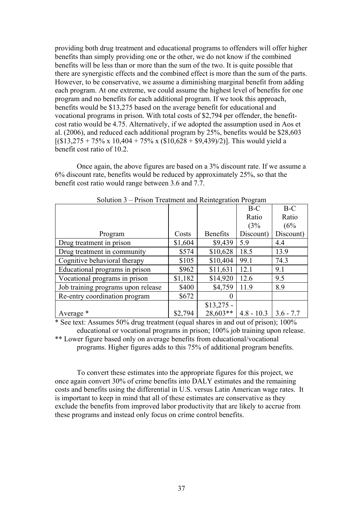providing both drug treatment and educational programs to offenders will offer higher benefits than simply providing one or the other, we do not know if the combined benefits will be less than or more than the sum of the two. It is quite possible that there are synergistic effects and the combined effect is more than the sum of the parts. However, to be conservative, we assume a diminishing marginal benefit from adding each program. At one extreme, we could assume the highest level of benefits for one program and no benefits for each additional program. If we took this approach, benefits would be \$13,275 based on the average benefit for educational and vocational programs in prison. With total costs of \$2,794 per offender, the benefitcost ratio would be 4.75. Alternatively, if we adopted the assumption used in Aos et al. (2006), and reduced each additional program by 25%, benefits would be \$28,603  $[(\$13,275 + 75\% \times 10,404 + 75\% \times (\$10,628 + \$9,439)/2)]$ . This would yield a benefit cost ratio of 10.2.

 Once again, the above figures are based on a 3% discount rate. If we assume a 6% discount rate, benefits would be reduced by approximately 25%, so that the benefit cost ratio would range between 3.6 and 7.7.

|                                    |         |                 | $B-C$                    | $B-C$     |
|------------------------------------|---------|-----------------|--------------------------|-----------|
|                                    |         |                 | Ratio                    | Ratio     |
|                                    |         |                 | (3%                      | (6%       |
| Program                            | Costs   | <b>Benefits</b> | Discount)                | Discount) |
| Drug treatment in prison           | \$1,604 | \$9,439         | 5.9                      | 4.4       |
| Drug treatment in community        | \$574   | \$10,628        | 18.5                     | 13.9      |
| Cognitive behavioral therapy       | \$105   | \$10,404        | 99.1                     | 74.3      |
| Educational programs in prison     | \$962   | \$11,631        | 12.1                     | 9.1       |
| Vocational programs in prison      | \$1,182 | \$14,920        | 12.6                     | 9.5       |
| Job training programs upon release | \$400   | \$4,759         | 11.9                     | 8.9       |
| Re-entry coordination program      | \$672   |                 |                          |           |
|                                    |         | $$13,275$ -     |                          |           |
| Average *                          | \$2,794 | $28,603**$      | $ 4.8 - 10.3 $ 3.6 - 7.7 |           |

Solution 3 – Prison Treatment and Reintegration Program

\* See text: Assumes 50% drug treatment (equal shares in and out of prison); 100% educational or vocational programs in prison; 100% job training upon release. \*\* Lower figure based only on average benefits from educational/vocational

programs. Higher figures adds to this 75% of additional program benefits.

 To convert these estimates into the appropriate figures for this project, we once again convert 30% of crime benefits into DALY estimates and the remaining costs and benefits using the differential in U.S. versus Latin American wage rates. It is important to keep in mind that all of these estimates are conservative as they exclude the benefits from improved labor productivity that are likely to accrue from these programs and instead only focus on crime control benefits.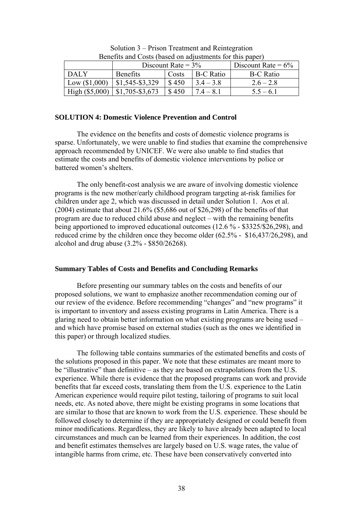| Denento and Cobio (babed on adjudition to this paper |                       |       |                  |                       |  |  |
|------------------------------------------------------|-----------------------|-------|------------------|-----------------------|--|--|
|                                                      | Discount Rate = $3\%$ |       |                  | Discount Rate = $6\%$ |  |  |
| DALY                                                 | <b>Benefits</b>       | Costs | <b>B-C Ratio</b> | <b>B-C Ratio</b>      |  |  |
| Low $($1,000)$                                       | $$1,545 - $3,329$     | \$450 | $3.4 - 3.8$      | $2.6 - 2.8$           |  |  |
| High $(\$5,000)$                                     | $$1,705 - $3,673$     | \$450 | $74 - 81$        | $55 - 61$             |  |  |

Solution 3 – Prison Treatment and Reintegration Benefits and Costs (based on adjustments for this paper)

## **SOLUTION 4: Domestic Violence Prevention and Control**

 The evidence on the benefits and costs of domestic violence programs is sparse. Unfortunately, we were unable to find studies that examine the comprehensive approach recommended by UNICEF. We were also unable to find studies that estimate the costs and benefits of domestic violence interventions by police or battered women's shelters.

 The only benefit-cost analysis we are aware of involving domestic violence programs is the new mother/early childhood program targeting at-risk families for children under age 2, which was discussed in detail under Solution 1. Aos et al. (2004) estimate that about 21.6% (\$5,686 out of \$26,298) of the benefits of that program are due to reduced child abuse and neglect – with the remaining benefits being apportioned to improved educational outcomes (12.6 % - \$3325/\$26,298), and reduced crime by the children once they become older (62.5% - \$16,437/26,298), and alcohol and drug abuse (3.2% - \$850/26268).

#### **Summary Tables of Costs and Benefits and Concluding Remarks**

 Before presenting our summary tables on the costs and benefits of our proposed solutions, we want to emphasize another recommendation coming our of our review of the evidence. Before recommending "changes" and "new programs" it is important to inventory and assess existing programs in Latin America. There is a glaring need to obtain better information on what existing programs are being used – and which have promise based on external studies (such as the ones we identified in this paper) or through localized studies.

 The following table contains summaries of the estimated benefits and costs of the solutions proposed in this paper. We note that these estimates are meant more to be "illustrative" than definitive – as they are based on extrapolations from the U.S. experience. While there is evidence that the proposed programs can work and provide benefits that far exceed costs, translating them from the U.S. experience to the Latin American experience would require pilot testing, tailoring of programs to suit local needs, etc. As noted above, there might be existing programs in some locations that are similar to those that are known to work from the U.S. experience. These should be followed closely to determine if they are appropriately designed or could benefit from minor modifications. Regardless, they are likely to have already been adapted to local circumstances and much can be learned from their experiences. In addition, the cost and benefit estimates themselves are largely based on U.S. wage rates, the value of intangible harms from crime, etc. These have been conservatively converted into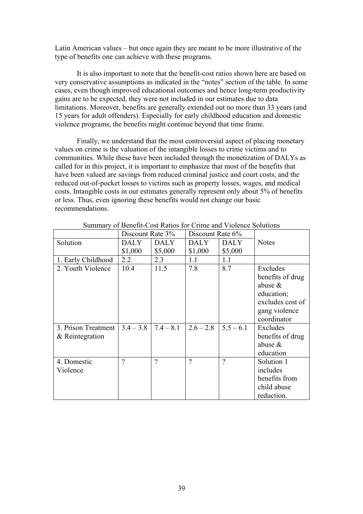Latin American values – but once again they are meant to be more illustrative of the type of benefits one can achieve with these programs.

 It is also important to note that the benefit-cost ratios shown here are based on very conservative assumptions as indicated in the "notes" section of the table. In some cases, even though improved educational outcomes and hence long-term productivity gains are to be expected, they were not included in our estimates due to data limitations. Moreover, benefits are generally extended out no more than 33 years (and 15 years for adult offenders). Especially for early childhood education and domestic violence programs, the benefits might continue beyond that time frame.

 Finally, we understand that the most controversial aspect of placing monetary values on crime is the valuation of the intangible losses to crime victims and to communities. While these have been included through the monetization of DALYs as called for in this project, it is important to emphasize that most of the benefits that have been valued are savings from reduced criminal justice and court costs, and the reduced out-of-pocket losses to victims such as property losses, wages, and medical costs. Intangible costs in our estimates generally represent only about 5% of benefits or less. Thus, even ignoring these benefits would not change our basic recommendations.

|                     | Discount Rate 3% |             | Discount Rate 6% |             |                  |
|---------------------|------------------|-------------|------------------|-------------|------------------|
| Solution            | <b>DALY</b>      | <b>DALY</b> | <b>DALY</b>      | <b>DALY</b> | <b>Notes</b>     |
|                     | \$1,000          | \$5,000     | \$1,000          | \$5,000     |                  |
| 1. Early Childhood  | 2.2              | 2.3         | 1.1              | 1.1         |                  |
| 2. Youth Violence   | 10.4             | 11.5        | 7.8              | 8.7         | Excludes         |
|                     |                  |             |                  |             | benefits of drug |
|                     |                  |             |                  |             | abuse $\&$       |
|                     |                  |             |                  |             | education;       |
|                     |                  |             |                  |             | excludes cost of |
|                     |                  |             |                  |             | gang violence    |
|                     |                  |             |                  |             | coordinator      |
| 3. Prison Treatment | $3.4 - 3.8$      | $7.4 - 8.1$ | $2.6 - 2.8$      | $5.5 - 6.1$ | Excludes         |
| & Reintegration     |                  |             |                  |             | benefits of drug |
|                     |                  |             |                  |             | abuse $\&$       |
|                     |                  |             |                  |             | education        |
| 4. Domestic         | $\gamma$         | $\gamma$    | $\gamma$         | $\gamma$    | Solution 1       |
| Violence            |                  |             |                  |             | includes         |
|                     |                  |             |                  |             | benefits from    |
|                     |                  |             |                  |             | child abuse      |
|                     |                  |             |                  |             | reduction.       |

Summary of Benefit-Cost Ratios for Crime and Violence Solutions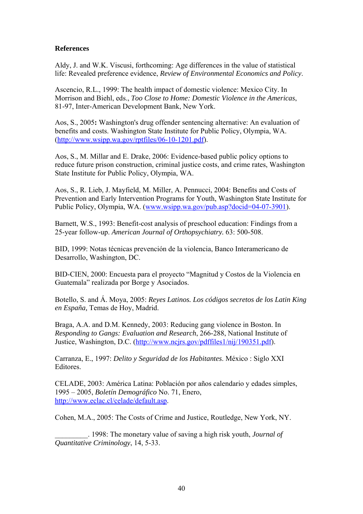# **References**

Aldy, J. and W.K. Viscusi, forthcoming: Age differences in the value of statistical life: Revealed preference evidence, *Review of Environmental Economics and Policy*.

Ascencio, R.L., 1999: The health impact of domestic violence: Mexico City. In Morrison and Biehl, eds., *Too Close to Home: Domestic Violence in the Americas*, 81-97, Inter-American Development Bank, New York.

Aos, S., 2005**:** Washington's drug offender sentencing alternative: An evaluation of benefits and costs. Washington State Institute for Public Policy, Olympia, WA. (http://www.wsipp.wa.gov/rptfiles/06-10-1201.pdf).

Aos, S., M. Millar and E. Drake, 2006: Evidence-based public policy options to reduce future prison construction, criminal justice costs, and crime rates, Washington State Institute for Public Policy, Olympia, WA.

Aos, S., R. Lieb, J. Mayfield, M. Miller, A. Pennucci, 2004: Benefits and Costs of Prevention and Early Intervention Programs for Youth, Washington State Institute for Public Policy, Olympia, WA. (www.wsipp.wa.gov/pub.asp?docid=04-07-3901).

Barnett, W.S., 1993: Benefit-cost analysis of preschool education: Findings from a 25-year follow-up. *American Journal of Orthopsychiatry.* 63: 500-508.

BID, 1999: Notas técnicas prevención de la violencia, Banco Interamericano de Desarrollo, Washington, DC.

BID-CIEN, 2000: Encuesta para el proyecto "Magnitud y Costos de la Violencia en Guatemala" realizada por Borge y Asociados.

Botello, S. and Á. Moya, 2005: *Reyes Latinos. Los códigos secretos de los Latin King en España,* Temas de Hoy, Madrid.

Braga, A.A. and D.M. Kennedy, 2003: Reducing gang violence in Boston. In *Responding to Gangs: Evaluation and Research*, 266-288, National Institute of Justice, Washington, D.C. (http://www.ncjrs.gov/pdffiles1/nij/190351.pdf).

Carranza, E., 1997: *Delito y Seguridad de los Habitantes*. México : Siglo XXI Editores.

CELADE, 2003: América Latina: Población por años calendario y edades simples, 1995 – 2005, *Boletín Demográfico* No. 71, Enero, http://www.eclac.cl/celade/default.asp.

Cohen, M.A., 2005: The Costs of Crime and Justice, Routledge, New York, NY.

\_\_\_\_\_\_\_\_\_. 1998: The monetary value of saving a high risk youth, *Journal of Quantitative Criminology*, 14, 5-33.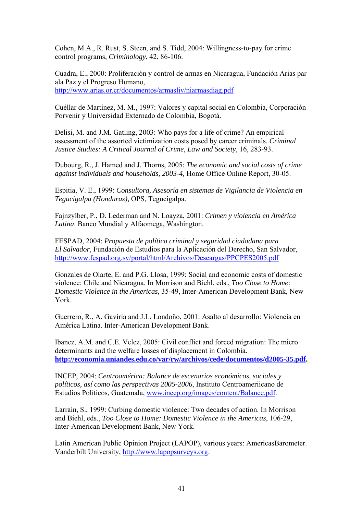Cohen, M.A., R. Rust, S. Steen, and S. Tidd, 2004: Willingness-to-pay for crime control programs, *Criminology*, 42, 86-106.

Cuadra, E., 2000: Proliferación y control de armas en Nicaragua, Fundación Arias par ala Paz y el Progreso Humano, http://www.arias.or.cr/documentos/armasliv/niarmasdiag.pdf

Cuéllar de Martínez, M. M., 1997: Valores y capital social en Colombia, Corporación Porvenir y Universidad Externado de Colombia, Bogotá.

Delisi, M. and J.M. Gatling, 2003: Who pays for a life of crime? An empirical assessment of the assorted victimization costs posed by career criminals. *Criminal Justice Studies: A Critical Journal of Crime, Law and Society,* 16, 283-93.

Dubourg, R., J. Hamed and J. Thorns, 2005: *The economic and social costs of crime against individuals and households, 2003-4,* Home Office Online Report, 30-05.

Espitia, V. E., 1999: *Consultora, Asesoría en sistemas de Vigilancia de Violencia en Tegucigalpa (Honduras),* OPS, Tegucigalpa.

Fajnzylber, P., D. Lederman and N. Loayza, 2001: *Crimen y violencia en América Latina*. Banco Mundial y Alfaomega, Washington.

FESPAD, 2004: *Propuesta de política criminal y seguridad ciudadana para El Salvador*, Fundación de Estudios para la Aplicación del Derecho, San Salvador, http://www.fespad.org.sv/portal/html/Archivos/Descargas/PPCPES2005.pdf

Gonzales de Olarte, E. and P.G. Llosa, 1999: Social and economic costs of domestic violence: Chile and Nicaragua. In Morrison and Biehl, eds., *Too Close to Home: Domestic Violence in the Americas*, 35-49, Inter-American Development Bank, New York.

Guerrero, R., A. Gaviria and J.L. Londoño, 2001: Asalto al desarrollo: Violencia en América Latina. Inter-American Development Bank.

Ibanez, A.M. and C.E. Velez, 2005: Civil conflict and forced migration: The micro determinants and the welfare losses of displacement in Colombia. **http://economia.uniandes.edu.co/var/rw/archivos/cede/documentos/d2005-35.pdf.** 

INCEP, 2004: *Centroamérica: Balance de escenarios económicos, sociales y políticos, así como las perspectivas 2005-2006*, Instituto Centroameriicano de Estudios Políticos, Guatemala, www.incep.org/images/content/Balance.pdf.

Larraín, S., 1999: Curbing domestic violence: Two decades of action. In Morrison and Biehl, eds., *Too Close to Home: Domestic Violence in the Americas*, 106-29, Inter-American Development Bank, New York.

Latin American Public Opinion Project (LAPOP), various years: AmericasBarometer. Vanderbilt University, http://www.lapopsurveys.org.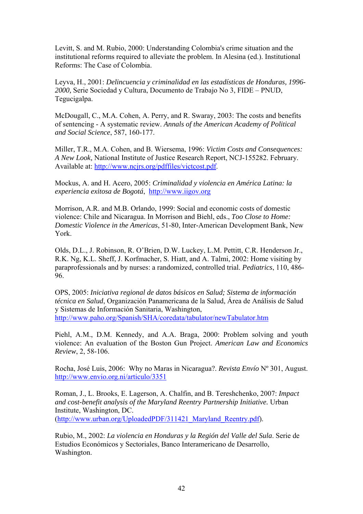Levitt, S. and M. Rubio, 2000: Understanding Colombia's crime situation and the institutional reforms required to alleviate the problem. In Alesina (ed.). Institutional Reforms: The Case of Colombia.

Leyva, H., 2001: *Delincuencia y criminalidad en las estadísticas de Honduras, 1996- 2000,* Serie Sociedad y Cultura, Documento de Trabajo No 3, FIDE – PNUD, Tegucigalpa.

McDougall, C., M.A. Cohen, A. Perry, and R. Swaray, 2003: The costs and benefits of sentencing - A systematic review. *Annals of the American Academy of Political and Social Science*, 587, 160-177.

Miller, T.R., M.A. Cohen, and B. Wiersema, 1996: *Victim Costs and Consequences: A New Look,* National Institute of Justice Research Report, NCJ-155282. February. Available at: http://www.ncjrs.org/pdffiles/victcost.pdf.

Mockus, A. and H. Acero, 2005: *Criminalidad y violencia en América Latina: la experiencia exitosa de Bogotá*, http://www.iigov.org

Morrison, A.R. and M.B. Orlando, 1999: Social and economic costs of domestic violence: Chile and Nicaragua. In Morrison and Biehl, eds., *Too Close to Home: Domestic Violence in the Americas*, 51-80, Inter-American Development Bank, New York.

Olds, D.L., J. Robinson, R. O'Brien, D.W. Luckey, L.M. Pettitt, C.R. Henderson Jr., R.K. Ng, K.L. Sheff, J. Korfmacher, S. Hiatt, and A. Talmi, 2002: Home visiting by paraprofessionals and by nurses: a randomized, controlled trial. *Pediatrics*, 110, 486- 96.

OPS, 2005: *Iniciativa regional de datos básicos en Salud; Sistema de información técnica en Salud*, Organización Panamericana de la Salud, Área de Análisis de Salud y Sistemas de Información Sanitaria, Washington, http://www.paho.org/Spanish/SHA/coredata/tabulator/newTabulator.htm

Piehl, A.M., D.M. Kennedy, and A.A. Braga, 2000: Problem solving and youth violence: An evaluation of the Boston Gun Project. *American Law and Economics Review*, 2, 58-106.

Rocha, José Luis, 2006: Why no Maras in Nicaragua?. *Revista Envío* Nº 301, August. http://www.envio.org.ni/articulo/3351

Roman, J., L. Brooks, E. Lagerson, A. Chalfin, and B. Tereshchenko, 2007: *Impact and cost-benefit analysis of the Maryland Reentry Partnership Initiative.* Urban Institute, Washington, DC. (http://www.urban.org/UploadedPDF/311421\_Maryland\_Reentry.pdf).

Rubio, M., 2002: *La violencia en Honduras y la Región del Valle del Sula*. Serie de Estudios Económicos y Sectoriales, Banco Interamericano de Desarrollo, Washington.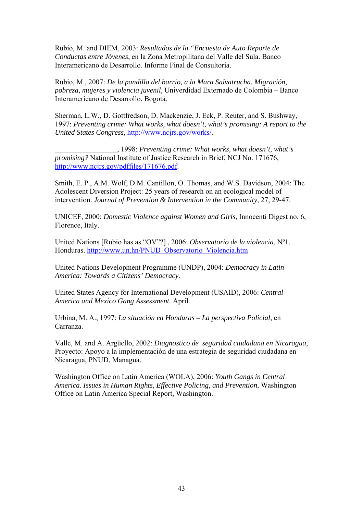Rubio, M. and DIEM, 2003: *Resultados de la "Encuesta de Auto Reporte de Conductas entre Jóvenes*, en la Zona Metropilitana del Valle del Sula. Banco Interamericano de Desarrollo. Informe Final de Consultoría.

Rubio, M., 2007: *De la pandilla del barrio, a la Mara Salvatrucha. Migración, pobreza, mujeres y violencia juvenil,* Univerdidad Externado de Colombia – Banco Interamericano de Desarrollo, Bogotá.

Sherman, L.W., D. Gottfredson, D. Mackenzie, J. Eck, P. Reuter, and S. Bushway, 1997: *Preventing crime: What works, what doesn't, what's promising: A report to the United States Congress,* http://www.ncjrs.gov/works/*.* 

\_\_\_\_\_\_\_\_\_\_\_\_\_\_\_\_\_, 1998: *Preventing crime: What works, what doesn't, what's promising?* National Institute of Justice Research in Brief, NCJ No. 171676, http://www.ncjrs.gov/pdffiles/171676.pdf.

Smith, E. P., A.M. Wolf, D.M. Cantillon, O. Thomas, and W.S. Davidson, 2004: The Adolescent Diversion Project: 25 years of research on an ecological model of intervention. *Journal of Prevention & Intervention in the Community,* 27, 29-47.

UNICEF, 2000: *Domestic Violence against Women and Girls*, Innocenti Digest no. 6, Florence, Italy.

United Nations [Rubio has as "OV"?] , 2006: *Observatorio de la violencia*, Nº1, Honduras. http://www.un.hn/PNUD\_Observatorio\_Violencia.htm

United Nations Development Programme (UNDP), 2004: *Democracy in Latin America: Towards a Citizens' Democracy.*

United States Agency for International Development (USAID), 2006: *Central America and Mexico Gang Assessment.* April.

Urbina, M. A., 1997: *La situación en Honduras – La perspectiva Policial*, en Carranza.

Valle, M. and A. Argüello, 2002: *Diagnostico de seguridad ciudadana en Nicaragua*, Proyecto: Apoyo a la implementación de una estrategia de seguridad ciudadana en Nicaragua, PNUD, Managua.

Washington Office on Latin America (WOLA), 2006: *Youth Gangs in Central America. Issues in Human Rights, Effective Policing, and Prevention*, Washington Office on Latin America Special Report, Washington.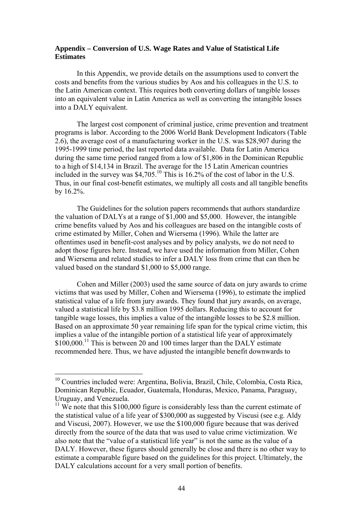## **Appendix – Conversion of U.S. Wage Rates and Value of Statistical Life Estimates**

 In this Appendix, we provide details on the assumptions used to convert the costs and benefits from the various studies by Aos and his colleagues in the U.S. to the Latin American context. This requires both converting dollars of tangible losses into an equivalent value in Latin America as well as converting the intangible losses into a DALY equivalent.

 The largest cost component of criminal justice, crime prevention and treatment programs is labor. According to the 2006 World Bank Development Indicators (Table 2.6), the average cost of a manufacturing worker in the U.S. was \$28,907 during the 1995-1999 time period, the last reported data available. Data for Latin America during the same time period ranged from a low of \$1,806 in the Dominican Republic to a high of \$14,134 in Brazil. The average for the 15 Latin American countries included in the survey was  $$4,705$ .<sup>10</sup> This is 16.2% of the cost of labor in the U.S. Thus, in our final cost-benefit estimates, we multiply all costs and all tangible benefits by 16.2%.

 The Guidelines for the solution papers recommends that authors standardize the valuation of DALYs at a range of \$1,000 and \$5,000. However, the intangible crime benefits valued by Aos and his colleagues are based on the intangible costs of crime estimated by Miller, Cohen and Wiersema (1996). While the latter are oftentimes used in benefit-cost analyses and by policy analysts, we do not need to adopt those figures here. Instead, we have used the information from Miller, Cohen and Wiersema and related studies to infer a DALY loss from crime that can then be valued based on the standard \$1,000 to \$5,000 range.

 Cohen and Miller (2003) used the same source of data on jury awards to crime victims that was used by Miller, Cohen and Wiersema (1996), to estimate the implied statistical value of a life from jury awards. They found that jury awards, on average, valued a statistical life by \$3.8 million 1995 dollars. Reducing this to account for tangible wage losses, this implies a value of the intangible losses to be \$2.8 million. Based on an approximate 50 year remaining life span for the typical crime victim, this implies a value of the intangible portion of a statistical life year of approximately \$100,000.<sup>11</sup> This is between 20 and 100 times larger than the DALY estimate recommended here. Thus, we have adjusted the intangible benefit downwards to

 $\overline{a}$ 

<sup>&</sup>lt;sup>10</sup> Countries included were: Argentina, Bolivia, Brazil, Chile, Colombia, Costa Rica, Dominican Republic, Ecuador, Guatemala, Honduras, Mexico, Panama, Paraguay, Uruguay, and Venezuela.

 $11$  We note that this \$100,000 figure is considerably less than the current estimate of the statistical value of a life year of \$300,000 as suggested by Viscusi (see e.g. Aldy and Viscusi, 2007). However, we use the \$100,000 figure because that was derived directly from the source of the data that was used to value crime victimization. We also note that the "value of a statistical life year" is not the same as the value of a DALY. However, these figures should generally be close and there is no other way to estimate a comparable figure based on the guidelines for this project. Ultimately, the DALY calculations account for a very small portion of benefits.